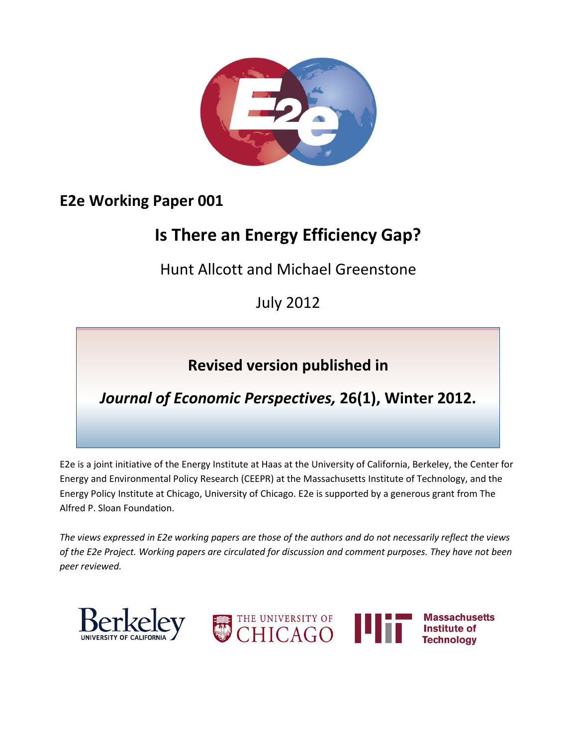

**E2e Working Paper 001**

# **Is There an Energy Efficiency Gap?**

Hunt Allcott and Michael Greenstone

July 2012

## **Revised version published in**

*Journal of Economic Perspectives,* **26(1), Winter 2012.**

E2e is a joint initiative of the Energy Institute at Haas at the University of California, Berkeley, the Center for Energy and Environmental Policy Research (CEEPR) at the Massachusetts Institute of Technology, and the Energy Policy Institute at Chicago, University of Chicago. E2e is supported by a generous grant from The Alfred P. Sloan Foundation.

*The views expressed in E2e working papers are those of the authors and do not necessarily reflect the views of the E2e Project. Working papers are circulated for discussion and comment purposes. They have not been peer reviewed.*

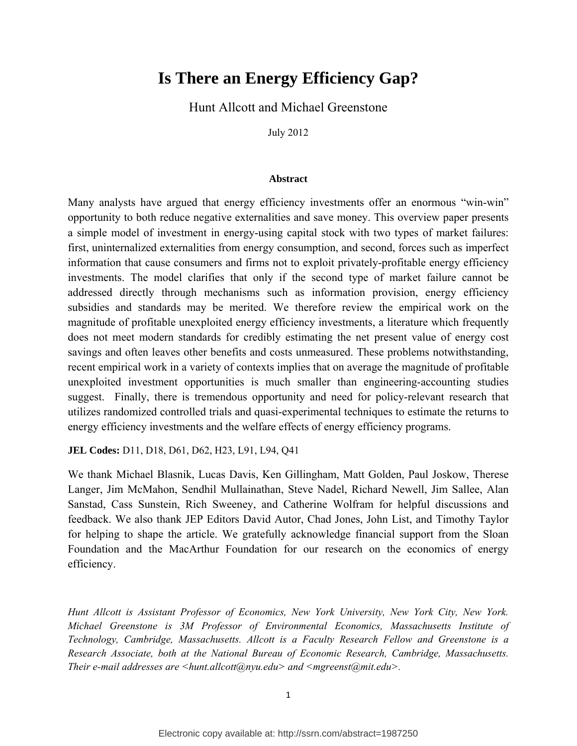## **Is There an Energy Efficiency Gap?**

Hunt Allcott and Michael Greenstone

July 2012

#### **Abstract**

Many analysts have argued that energy efficiency investments offer an enormous "win-win" opportunity to both reduce negative externalities and save money. This overview paper presents a simple model of investment in energy-using capital stock with two types of market failures: first, uninternalized externalities from energy consumption, and second, forces such as imperfect information that cause consumers and firms not to exploit privately-profitable energy efficiency investments. The model clarifies that only if the second type of market failure cannot be addressed directly through mechanisms such as information provision, energy efficiency subsidies and standards may be merited. We therefore review the empirical work on the magnitude of profitable unexploited energy efficiency investments, a literature which frequently does not meet modern standards for credibly estimating the net present value of energy cost savings and often leaves other benefits and costs unmeasured. These problems notwithstanding, recent empirical work in a variety of contexts implies that on average the magnitude of profitable unexploited investment opportunities is much smaller than engineering-accounting studies suggest. Finally, there is tremendous opportunity and need for policy-relevant research that utilizes randomized controlled trials and quasi-experimental techniques to estimate the returns to energy efficiency investments and the welfare effects of energy efficiency programs.

**JEL Codes:** D11, D18, D61, D62, H23, L91, L94, Q41

We thank Michael Blasnik, Lucas Davis, Ken Gillingham, Matt Golden, Paul Joskow, Therese Langer, Jim McMahon, Sendhil Mullainathan, Steve Nadel, Richard Newell, Jim Sallee, Alan Sanstad, Cass Sunstein, Rich Sweeney, and Catherine Wolfram for helpful discussions and feedback. We also thank JEP Editors David Autor, Chad Jones, John List, and Timothy Taylor for helping to shape the article. We gratefully acknowledge financial support from the Sloan Foundation and the MacArthur Foundation for our research on the economics of energy efficiency.

*Hunt Allcott is Assistant Professor of Economics, New York University, New York City, New York. Michael Greenstone is 3M Professor of Environmental Economics, Massachusetts Institute of Technology, Cambridge, Massachusetts. Allcott is a Faculty Research Fellow and Greenstone is a Research Associate, both at the National Bureau of Economic Research, Cambridge, Massachusetts. Their e-mail addresses are <hunt.allcott@nyu.edu> and <mgreenst@mit.edu>.*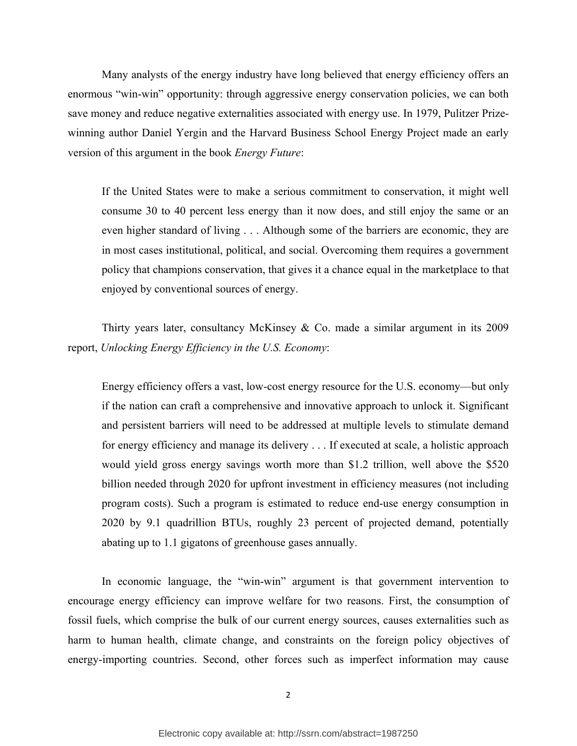Many analysts of the energy industry have long believed that energy efficiency offers an enormous "win-win" opportunity: through aggressive energy conservation policies, we can both save money and reduce negative externalities associated with energy use. In 1979, Pulitzer Prizewinning author Daniel Yergin and the Harvard Business School Energy Project made an early version of this argument in the book *Energy Future*:

If the United States were to make a serious commitment to conservation, it might well consume 30 to 40 percent less energy than it now does, and still enjoy the same or an even higher standard of living . . . Although some of the barriers are economic, they are in most cases institutional, political, and social. Overcoming them requires a government policy that champions conservation, that gives it a chance equal in the marketplace to that enjoyed by conventional sources of energy.

Thirty years later, consultancy McKinsey  $& Co.$  made a similar argument in its 2009 report, *Unlocking Energy Efficiency in the U.S. Economy*:

Energy efficiency offers a vast, low-cost energy resource for the U.S. economy—but only if the nation can craft a comprehensive and innovative approach to unlock it. Significant and persistent barriers will need to be addressed at multiple levels to stimulate demand for energy efficiency and manage its delivery . . . If executed at scale, a holistic approach would yield gross energy savings worth more than \$1.2 trillion, well above the \$520 billion needed through 2020 for upfront investment in efficiency measures (not including program costs). Such a program is estimated to reduce end-use energy consumption in 2020 by 9.1 quadrillion BTUs, roughly 23 percent of projected demand, potentially abating up to 1.1 gigatons of greenhouse gases annually.

In economic language, the "win-win" argument is that government intervention to encourage energy efficiency can improve welfare for two reasons. First, the consumption of fossil fuels, which comprise the bulk of our current energy sources, causes externalities such as harm to human health, climate change, and constraints on the foreign policy objectives of energy-importing countries. Second, other forces such as imperfect information may cause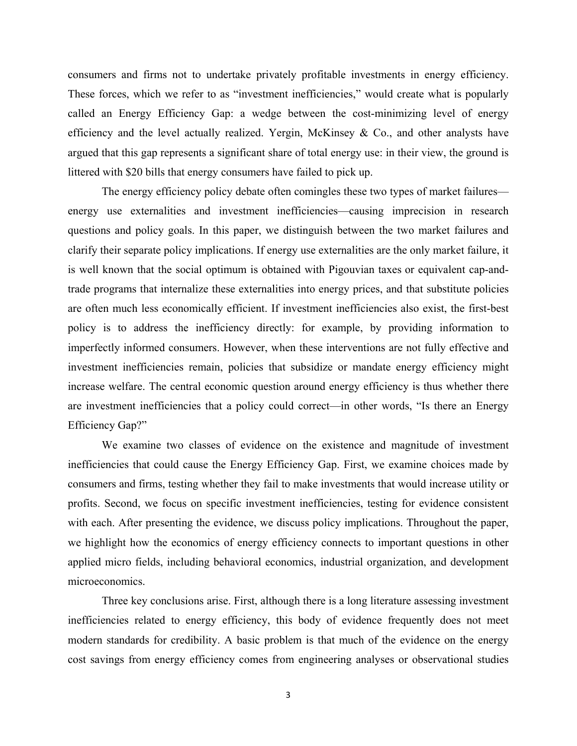consumers and firms not to undertake privately profitable investments in energy efficiency. These forces, which we refer to as "investment inefficiencies," would create what is popularly called an Energy Efficiency Gap: a wedge between the cost-minimizing level of energy efficiency and the level actually realized. Yergin, McKinsey & Co., and other analysts have argued that this gap represents a significant share of total energy use: in their view, the ground is littered with \$20 bills that energy consumers have failed to pick up.

The energy efficiency policy debate often comingles these two types of market failures energy use externalities and investment inefficiencies—causing imprecision in research questions and policy goals. In this paper, we distinguish between the two market failures and clarify their separate policy implications. If energy use externalities are the only market failure, it is well known that the social optimum is obtained with Pigouvian taxes or equivalent cap-andtrade programs that internalize these externalities into energy prices, and that substitute policies are often much less economically efficient. If investment inefficiencies also exist, the first-best policy is to address the inefficiency directly: for example, by providing information to imperfectly informed consumers. However, when these interventions are not fully effective and investment inefficiencies remain, policies that subsidize or mandate energy efficiency might increase welfare. The central economic question around energy efficiency is thus whether there are investment inefficiencies that a policy could correct—in other words, "Is there an Energy Efficiency Gap?"

We examine two classes of evidence on the existence and magnitude of investment inefficiencies that could cause the Energy Efficiency Gap. First, we examine choices made by consumers and firms, testing whether they fail to make investments that would increase utility or profits. Second, we focus on specific investment inefficiencies, testing for evidence consistent with each. After presenting the evidence, we discuss policy implications. Throughout the paper, we highlight how the economics of energy efficiency connects to important questions in other applied micro fields, including behavioral economics, industrial organization, and development microeconomics.

Three key conclusions arise. First, although there is a long literature assessing investment inefficiencies related to energy efficiency, this body of evidence frequently does not meet modern standards for credibility. A basic problem is that much of the evidence on the energy cost savings from energy efficiency comes from engineering analyses or observational studies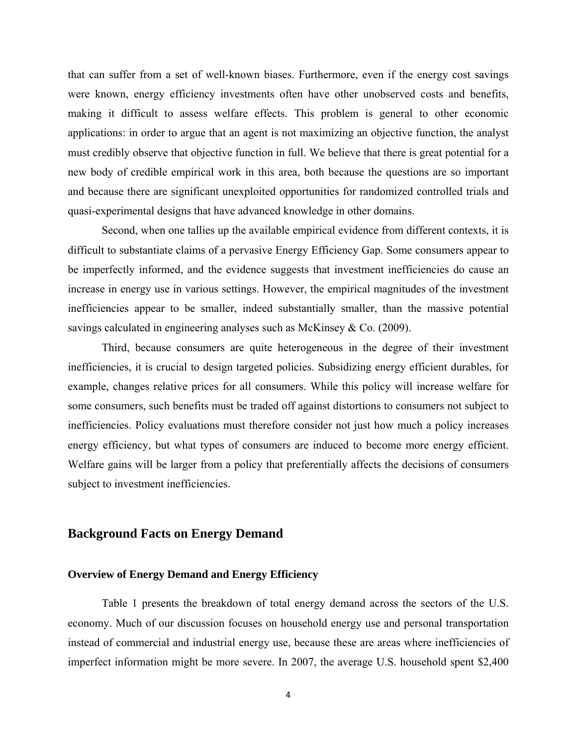that can suffer from a set of well-known biases. Furthermore, even if the energy cost savings were known, energy efficiency investments often have other unobserved costs and benefits, making it difficult to assess welfare effects. This problem is general to other economic applications: in order to argue that an agent is not maximizing an objective function, the analyst must credibly observe that objective function in full. We believe that there is great potential for a new body of credible empirical work in this area, both because the questions are so important and because there are significant unexploited opportunities for randomized controlled trials and quasi-experimental designs that have advanced knowledge in other domains.

Second, when one tallies up the available empirical evidence from different contexts, it is difficult to substantiate claims of a pervasive Energy Efficiency Gap. Some consumers appear to be imperfectly informed, and the evidence suggests that investment inefficiencies do cause an increase in energy use in various settings. However, the empirical magnitudes of the investment inefficiencies appear to be smaller, indeed substantially smaller, than the massive potential savings calculated in engineering analyses such as McKinsey & Co. (2009).

Third, because consumers are quite heterogeneous in the degree of their investment inefficiencies, it is crucial to design targeted policies. Subsidizing energy efficient durables, for example, changes relative prices for all consumers. While this policy will increase welfare for some consumers, such benefits must be traded off against distortions to consumers not subject to inefficiencies. Policy evaluations must therefore consider not just how much a policy increases energy efficiency, but what types of consumers are induced to become more energy efficient. Welfare gains will be larger from a policy that preferentially affects the decisions of consumers subject to investment inefficiencies.

### **Background Facts on Energy Demand**

#### **Overview of Energy Demand and Energy Efficiency**

Table 1 presents the breakdown of total energy demand across the sectors of the U.S. economy. Much of our discussion focuses on household energy use and personal transportation instead of commercial and industrial energy use, because these are areas where inefficiencies of imperfect information might be more severe. In 2007, the average U.S. household spent \$2,400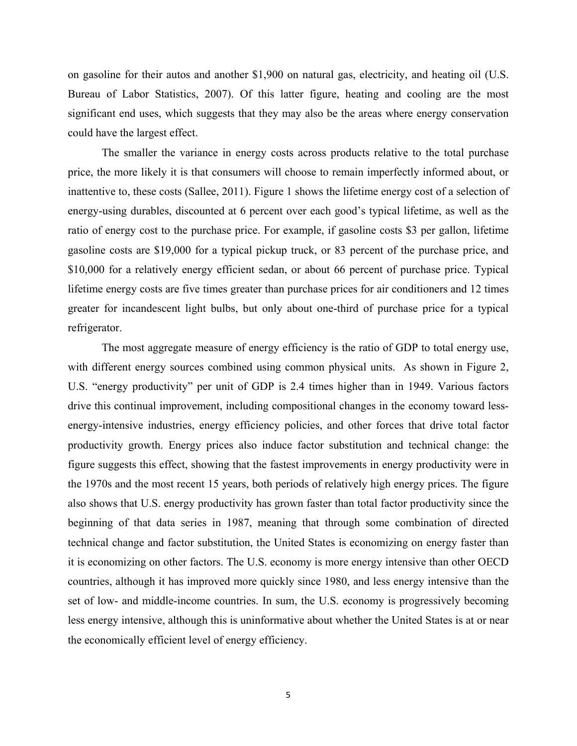on gasoline for their autos and another \$1,900 on natural gas, electricity, and heating oil (U.S. Bureau of Labor Statistics, 2007). Of this latter figure, heating and cooling are the most significant end uses, which suggests that they may also be the areas where energy conservation could have the largest effect.

The smaller the variance in energy costs across products relative to the total purchase price, the more likely it is that consumers will choose to remain imperfectly informed about, or inattentive to, these costs (Sallee, 2011). Figure 1 shows the lifetime energy cost of a selection of energy-using durables, discounted at 6 percent over each good's typical lifetime, as well as the ratio of energy cost to the purchase price. For example, if gasoline costs \$3 per gallon, lifetime gasoline costs are \$19,000 for a typical pickup truck, or 83 percent of the purchase price, and \$10,000 for a relatively energy efficient sedan, or about 66 percent of purchase price. Typical lifetime energy costs are five times greater than purchase prices for air conditioners and 12 times greater for incandescent light bulbs, but only about one-third of purchase price for a typical refrigerator.

The most aggregate measure of energy efficiency is the ratio of GDP to total energy use, with different energy sources combined using common physical units. As shown in Figure 2, U.S. "energy productivity" per unit of GDP is 2.4 times higher than in 1949. Various factors drive this continual improvement, including compositional changes in the economy toward lessenergy-intensive industries, energy efficiency policies, and other forces that drive total factor productivity growth. Energy prices also induce factor substitution and technical change: the figure suggests this effect, showing that the fastest improvements in energy productivity were in the 1970s and the most recent 15 years, both periods of relatively high energy prices. The figure also shows that U.S. energy productivity has grown faster than total factor productivity since the beginning of that data series in 1987, meaning that through some combination of directed technical change and factor substitution, the United States is economizing on energy faster than it is economizing on other factors. The U.S. economy is more energy intensive than other OECD countries, although it has improved more quickly since 1980, and less energy intensive than the set of low- and middle-income countries. In sum, the U.S. economy is progressively becoming less energy intensive, although this is uninformative about whether the United States is at or near the economically efficient level of energy efficiency.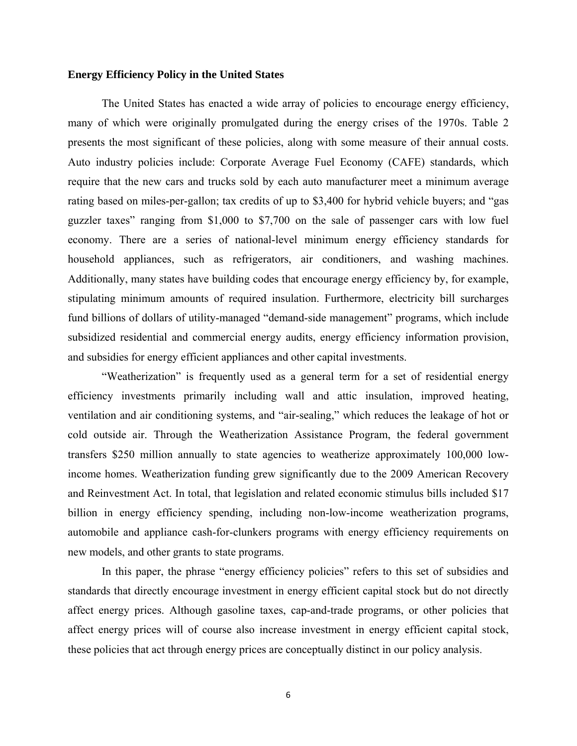#### **Energy Efficiency Policy in the United States**

The United States has enacted a wide array of policies to encourage energy efficiency, many of which were originally promulgated during the energy crises of the 1970s. Table 2 presents the most significant of these policies, along with some measure of their annual costs. Auto industry policies include: Corporate Average Fuel Economy (CAFE) standards, which require that the new cars and trucks sold by each auto manufacturer meet a minimum average rating based on miles-per-gallon; tax credits of up to \$3,400 for hybrid vehicle buyers; and "gas guzzler taxes" ranging from \$1,000 to \$7,700 on the sale of passenger cars with low fuel economy. There are a series of national-level minimum energy efficiency standards for household appliances, such as refrigerators, air conditioners, and washing machines. Additionally, many states have building codes that encourage energy efficiency by, for example, stipulating minimum amounts of required insulation. Furthermore, electricity bill surcharges fund billions of dollars of utility-managed "demand-side management" programs, which include subsidized residential and commercial energy audits, energy efficiency information provision, and subsidies for energy efficient appliances and other capital investments.

"Weatherization" is frequently used as a general term for a set of residential energy efficiency investments primarily including wall and attic insulation, improved heating, ventilation and air conditioning systems, and "air-sealing," which reduces the leakage of hot or cold outside air. Through the Weatherization Assistance Program, the federal government transfers \$250 million annually to state agencies to weatherize approximately 100,000 lowincome homes. Weatherization funding grew significantly due to the 2009 American Recovery and Reinvestment Act. In total, that legislation and related economic stimulus bills included \$17 billion in energy efficiency spending, including non-low-income weatherization programs, automobile and appliance cash-for-clunkers programs with energy efficiency requirements on new models, and other grants to state programs.

In this paper, the phrase "energy efficiency policies" refers to this set of subsidies and standards that directly encourage investment in energy efficient capital stock but do not directly affect energy prices. Although gasoline taxes, cap-and-trade programs, or other policies that affect energy prices will of course also increase investment in energy efficient capital stock, these policies that act through energy prices are conceptually distinct in our policy analysis.

6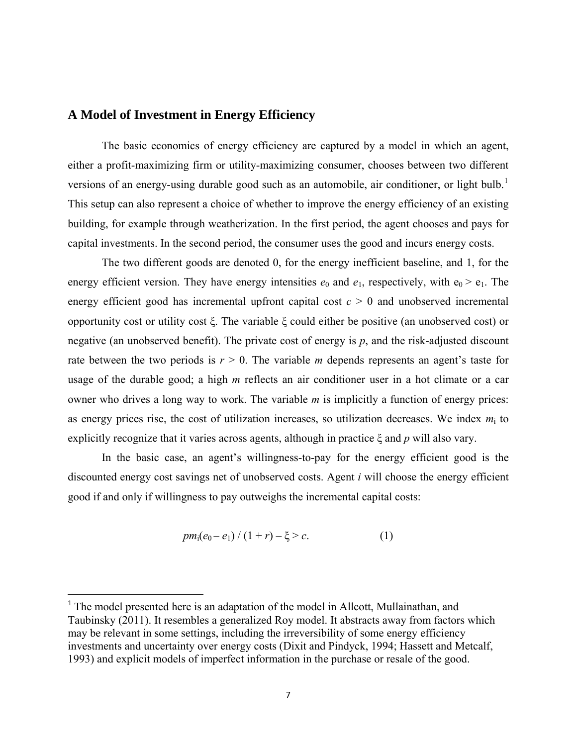## **A Model of Investment in Energy Efficiency**

The basic economics of energy efficiency are captured by a model in which an agent, either a profit-maximizing firm or utility-maximizing consumer, chooses between two different versions of an energy-using durable good such as an automobile, air conditioner, or light bulb.<sup>[1](#page-7-0)</sup> This setup can also represent a choice of whether to improve the energy efficiency of an existing building, for example through weatherization. In the first period, the agent chooses and pays for capital investments. In the second period, the consumer uses the good and incurs energy costs.

The two different goods are denoted 0, for the energy inefficient baseline, and 1, for the energy efficient version. They have energy intensities  $e_0$  and  $e_1$ , respectively, with  $e_0 > e_1$ . The energy efficient good has incremental upfront capital cost *c* > 0 and unobserved incremental opportunity cost or utility cost ξ. The variable ξ could either be positive (an unobserved cost) or negative (an unobserved benefit). The private cost of energy is *p*, and the risk-adjusted discount rate between the two periods is  $r > 0$ . The variable *m* depends represents an agent's taste for usage of the durable good; a high *m* reflects an air conditioner user in a hot climate or a car owner who drives a long way to work. The variable *m* is implicitly a function of energy prices: as energy prices rise, the cost of utilization increases, so utilization decreases. We index *m*i to explicitly recognize that it varies across agents, although in practice ξ and *p* will also vary.

In the basic case, an agent's willingness-to-pay for the energy efficient good is the discounted energy cost savings net of unobserved costs. Agent *i* will choose the energy efficient good if and only if willingness to pay outweighs the incremental capital costs:

$$
pm_{i}(e_{0}-e_{1})/(1+r)-\xi > c.
$$
 (1)

<span id="page-7-0"></span><sup>&</sup>lt;sup>1</sup> The model presented here is an adaptation of the model in Allcott, Mullainathan, and Taubinsky (2011). It resembles a generalized Roy model. It abstracts away from factors which may be relevant in some settings, including the irreversibility of some energy efficiency investments and uncertainty over energy costs (Dixit and Pindyck, 1994; Hassett and Metcalf, 1993) and explicit models of imperfect information in the purchase or resale of the good.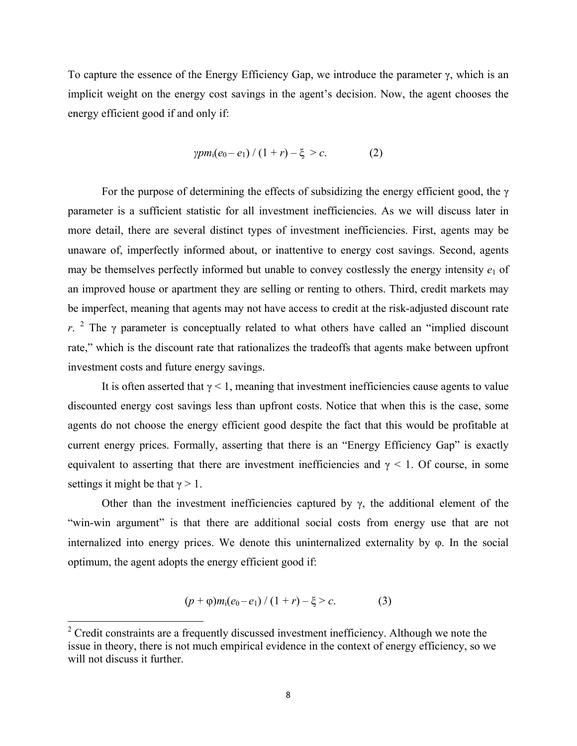To capture the essence of the Energy Efficiency Gap, we introduce the parameter  $\gamma$ , which is an implicit weight on the energy cost savings in the agent's decision. Now, the agent chooses the energy efficient good if and only if:

$$
\gamma pm_i(e_0 - e_1) / (1 + r) - \xi > c. \tag{2}
$$

For the purpose of determining the effects of subsidizing the energy efficient good, the  $\gamma$ parameter is a sufficient statistic for all investment inefficiencies. As we will discuss later in more detail, there are several distinct types of investment inefficiencies. First, agents may be unaware of, imperfectly informed about, or inattentive to energy cost savings. Second, agents may be themselves perfectly informed but unable to convey costlessly the energy intensity  $e_1$  of an improved house or apartment they are selling or renting to others. Third, credit markets may be imperfect, meaning that agents may not have access to credit at the risk-adjusted discount rate *r*. <sup>[2](#page-8-0)</sup> The  $\gamma$  parameter is conceptually related to what others have called an "implied discount" rate," which is the discount rate that rationalizes the tradeoffs that agents make between upfront investment costs and future energy savings.

It is often asserted that  $\gamma$  < 1, meaning that investment inefficiencies cause agents to value discounted energy cost savings less than upfront costs. Notice that when this is the case, some agents do not choose the energy efficient good despite the fact that this would be profitable at current energy prices. Formally, asserting that there is an "Energy Efficiency Gap" is exactly equivalent to asserting that there are investment inefficiencies and  $\gamma$  < 1. Of course, in some settings it might be that  $\gamma > 1$ .

Other than the investment inefficiencies captured by  $\gamma$ , the additional element of the "win-win argument" is that there are additional social costs from energy use that are not internalized into energy prices. We denote this uninternalized externality by φ. In the social optimum, the agent adopts the energy efficient good if:

$$
(p + \varphi)m_i(e_0 - e_1) / (1 + r) - \xi > c.
$$
 (3)

<span id="page-8-0"></span> $2^2$  Credit constraints are a frequently discussed investment inefficiency. Although we note the issue in theory, there is not much empirical evidence in the context of energy efficiency, so we will not discuss it further.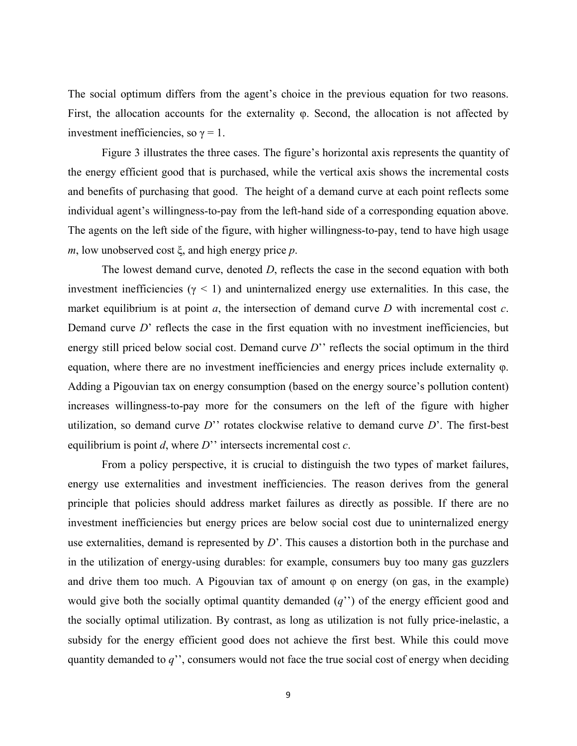The social optimum differs from the agent's choice in the previous equation for two reasons. First, the allocation accounts for the externality φ. Second, the allocation is not affected by investment inefficiencies, so  $\gamma = 1$ .

Figure 3 illustrates the three cases. The figure's horizontal axis represents the quantity of the energy efficient good that is purchased, while the vertical axis shows the incremental costs and benefits of purchasing that good. The height of a demand curve at each point reflects some individual agent's willingness-to-pay from the left-hand side of a corresponding equation above. The agents on the left side of the figure, with higher willingness-to-pay, tend to have high usage *m*, low unobserved cost ξ, and high energy price *p*.

The lowest demand curve, denoted *D*, reflects the case in the second equation with both investment inefficiencies ( $\gamma$  < 1) and uninternalized energy use externalities. In this case, the market equilibrium is at point *a*, the intersection of demand curve *D* with incremental cost *c*. Demand curve *D*' reflects the case in the first equation with no investment inefficiencies, but energy still priced below social cost. Demand curve *D*<sup>"</sup> reflects the social optimum in the third equation, where there are no investment inefficiencies and energy prices include externality φ. Adding a Pigouvian tax on energy consumption (based on the energy source's pollution content) increases willingness-to-pay more for the consumers on the left of the figure with higher utilization, so demand curve *D*'' rotates clockwise relative to demand curve *D*'. The first-best equilibrium is point *d*, where *D*'' intersects incremental cost *c*.

From a policy perspective, it is crucial to distinguish the two types of market failures, energy use externalities and investment inefficiencies. The reason derives from the general principle that policies should address market failures as directly as possible. If there are no investment inefficiencies but energy prices are below social cost due to uninternalized energy use externalities, demand is represented by *D*'. This causes a distortion both in the purchase and in the utilization of energy-using durables: for example, consumers buy too many gas guzzlers and drive them too much. A Pigouvian tax of amount  $\varphi$  on energy (on gas, in the example) would give both the socially optimal quantity demanded (*q*'') of the energy efficient good and the socially optimal utilization. By contrast, as long as utilization is not fully price-inelastic, a subsidy for the energy efficient good does not achieve the first best. While this could move quantity demanded to *q*'', consumers would not face the true social cost of energy when deciding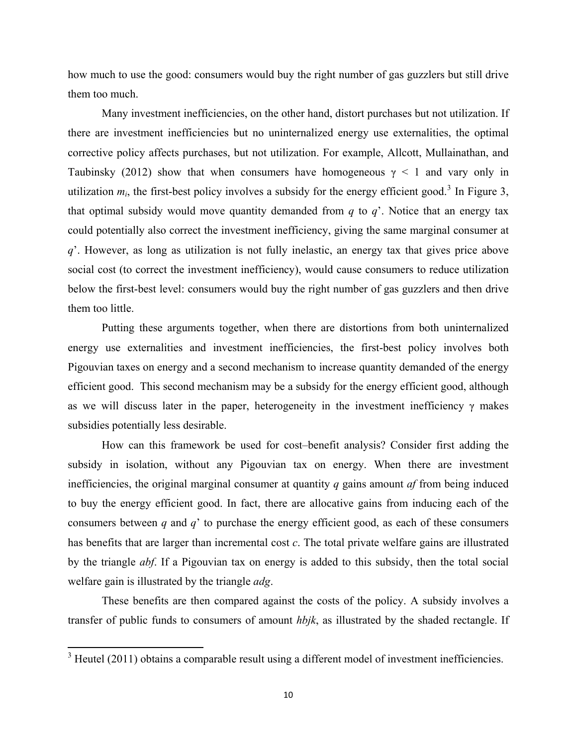how much to use the good: consumers would buy the right number of gas guzzlers but still drive them too much.

Many investment inefficiencies, on the other hand, distort purchases but not utilization. If there are investment inefficiencies but no uninternalized energy use externalities, the optimal corrective policy affects purchases, but not utilization. For example, Allcott, Mullainathan, and Taubinsky (2012) show that when consumers have homogeneous  $\gamma$  < 1 and vary only in utilization  $m_i$ , the first-best policy involves a subsidy for the energy efficient good.<sup>[3](#page-10-0)</sup> In Figure 3, that optimal subsidy would move quantity demanded from *q* to *q*'. Notice that an energy tax could potentially also correct the investment inefficiency, giving the same marginal consumer at *q*'. However, as long as utilization is not fully inelastic, an energy tax that gives price above social cost (to correct the investment inefficiency), would cause consumers to reduce utilization below the first-best level: consumers would buy the right number of gas guzzlers and then drive them too little.

Putting these arguments together, when there are distortions from both uninternalized energy use externalities and investment inefficiencies, the first-best policy involves both Pigouvian taxes on energy and a second mechanism to increase quantity demanded of the energy efficient good. This second mechanism may be a subsidy for the energy efficient good, although as we will discuss later in the paper, heterogeneity in the investment inefficiency  $\gamma$  makes subsidies potentially less desirable.

How can this framework be used for cost–benefit analysis? Consider first adding the subsidy in isolation, without any Pigouvian tax on energy. When there are investment inefficiencies, the original marginal consumer at quantity *q* gains amount *af* from being induced to buy the energy efficient good. In fact, there are allocative gains from inducing each of the consumers between *q* and *q*' to purchase the energy efficient good, as each of these consumers has benefits that are larger than incremental cost *c*. The total private welfare gains are illustrated by the triangle *abf*. If a Pigouvian tax on energy is added to this subsidy, then the total social welfare gain is illustrated by the triangle *adg*.

These benefits are then compared against the costs of the policy. A subsidy involves a transfer of public funds to consumers of amount *hbjk*, as illustrated by the shaded rectangle. If

<span id="page-10-0"></span><sup>&</sup>lt;sup>3</sup> Heutel (2011) obtains a comparable result using a different model of investment inefficiencies.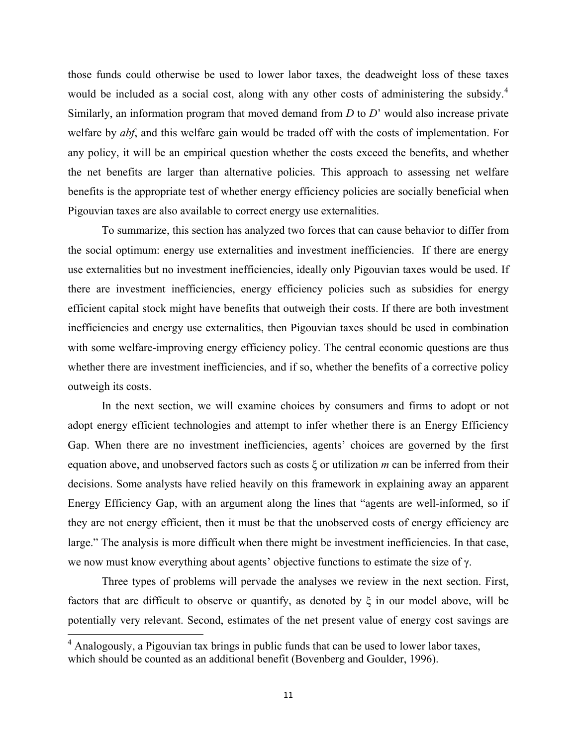those funds could otherwise be used to lower labor taxes, the deadweight loss of these taxes would be included as a social cost, along with any other costs of administering the subsidy.<sup>[4](#page-11-0)</sup> Similarly, an information program that moved demand from *D* to *D*' would also increase private welfare by *abf*, and this welfare gain would be traded off with the costs of implementation. For any policy, it will be an empirical question whether the costs exceed the benefits, and whether the net benefits are larger than alternative policies. This approach to assessing net welfare benefits is the appropriate test of whether energy efficiency policies are socially beneficial when Pigouvian taxes are also available to correct energy use externalities.

To summarize, this section has analyzed two forces that can cause behavior to differ from the social optimum: energy use externalities and investment inefficiencies. If there are energy use externalities but no investment inefficiencies, ideally only Pigouvian taxes would be used. If there are investment inefficiencies, energy efficiency policies such as subsidies for energy efficient capital stock might have benefits that outweigh their costs. If there are both investment inefficiencies and energy use externalities, then Pigouvian taxes should be used in combination with some welfare-improving energy efficiency policy. The central economic questions are thus whether there are investment inefficiencies, and if so, whether the benefits of a corrective policy outweigh its costs.

In the next section, we will examine choices by consumers and firms to adopt or not adopt energy efficient technologies and attempt to infer whether there is an Energy Efficiency Gap. When there are no investment inefficiencies, agents' choices are governed by the first equation above, and unobserved factors such as costs ξ or utilization *m* can be inferred from their decisions. Some analysts have relied heavily on this framework in explaining away an apparent Energy Efficiency Gap, with an argument along the lines that "agents are well-informed, so if they are not energy efficient, then it must be that the unobserved costs of energy efficiency are large." The analysis is more difficult when there might be investment inefficiencies. In that case, we now must know everything about agents' objective functions to estimate the size of  $\gamma$ .

Three types of problems will pervade the analyses we review in the next section. First, factors that are difficult to observe or quantify, as denoted by ξ in our model above, will be potentially very relevant. Second, estimates of the net present value of energy cost savings are

<span id="page-11-0"></span><sup>&</sup>lt;sup>4</sup> Analogously, a Pigouvian tax brings in public funds that can be used to lower labor taxes, which should be counted as an additional benefit (Bovenberg and Goulder, 1996).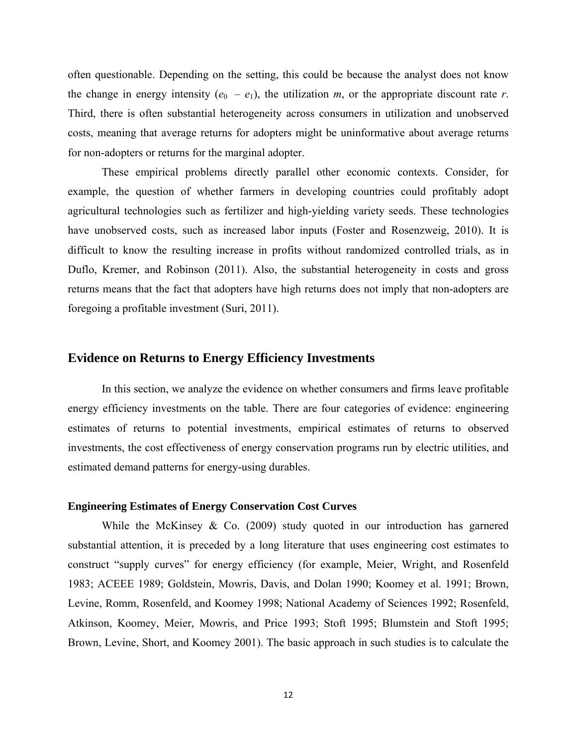often questionable. Depending on the setting, this could be because the analyst does not know the change in energy intensity  $(e_0 - e_1)$ , the utilization *m*, or the appropriate discount rate *r*. Third, there is often substantial heterogeneity across consumers in utilization and unobserved costs, meaning that average returns for adopters might be uninformative about average returns for non-adopters or returns for the marginal adopter.

These empirical problems directly parallel other economic contexts. Consider, for example, the question of whether farmers in developing countries could profitably adopt agricultural technologies such as fertilizer and high-yielding variety seeds. These technologies have unobserved costs, such as increased labor inputs (Foster and Rosenzweig, 2010). It is difficult to know the resulting increase in profits without randomized controlled trials, as in Duflo, Kremer, and Robinson (2011). Also, the substantial heterogeneity in costs and gross returns means that the fact that adopters have high returns does not imply that non-adopters are foregoing a profitable investment (Suri, 2011).

#### **Evidence on Returns to Energy Efficiency Investments**

In this section, we analyze the evidence on whether consumers and firms leave profitable energy efficiency investments on the table. There are four categories of evidence: engineering estimates of returns to potential investments, empirical estimates of returns to observed investments, the cost effectiveness of energy conservation programs run by electric utilities, and estimated demand patterns for energy-using durables.

#### **Engineering Estimates of Energy Conservation Cost Curves**

While the McKinsey & Co. (2009) study quoted in our introduction has garnered substantial attention, it is preceded by a long literature that uses engineering cost estimates to construct "supply curves" for energy efficiency (for example, Meier, Wright, and Rosenfeld 1983; ACEEE 1989; Goldstein, Mowris, Davis, and Dolan 1990; Koomey et al. 1991; Brown, Levine, Romm, Rosenfeld, and Koomey 1998; National Academy of Sciences 1992; Rosenfeld, Atkinson, Koomey, Meier, Mowris, and Price 1993; Stoft 1995; Blumstein and Stoft 1995; Brown, Levine, Short, and Koomey 2001). The basic approach in such studies is to calculate the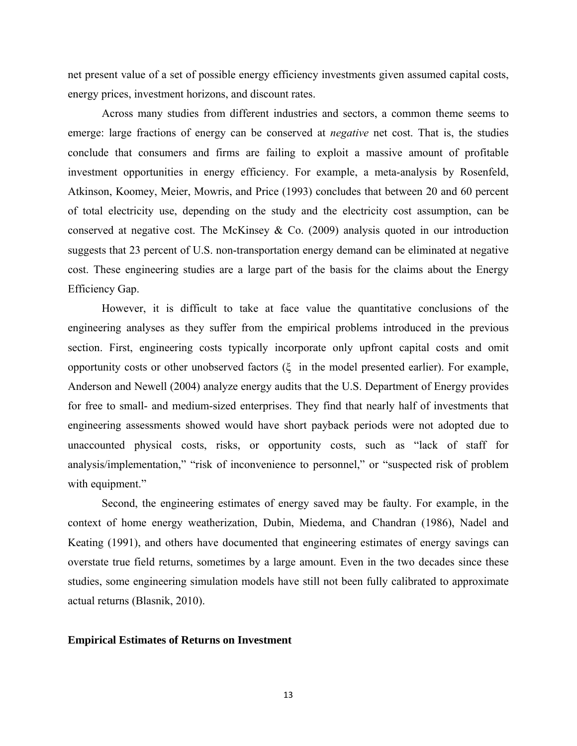net present value of a set of possible energy efficiency investments given assumed capital costs, energy prices, investment horizons, and discount rates.

Across many studies from different industries and sectors, a common theme seems to emerge: large fractions of energy can be conserved at *negative* net cost. That is, the studies conclude that consumers and firms are failing to exploit a massive amount of profitable investment opportunities in energy efficiency. For example, a meta-analysis by Rosenfeld, Atkinson, Koomey, Meier, Mowris, and Price (1993) concludes that between 20 and 60 percent of total electricity use, depending on the study and the electricity cost assumption, can be conserved at negative cost. The McKinsey & Co. (2009) analysis quoted in our introduction suggests that 23 percent of U.S. non-transportation energy demand can be eliminated at negative cost. These engineering studies are a large part of the basis for the claims about the Energy Efficiency Gap.

However, it is difficult to take at face value the quantitative conclusions of the engineering analyses as they suffer from the empirical problems introduced in the previous section. First, engineering costs typically incorporate only upfront capital costs and omit opportunity costs or other unobserved factors  $(\xi$  in the model presented earlier). For example, Anderson and Newell (2004) analyze energy audits that the U.S. Department of Energy provides for free to small- and medium-sized enterprises. They find that nearly half of investments that engineering assessments showed would have short payback periods were not adopted due to unaccounted physical costs, risks, or opportunity costs, such as "lack of staff for analysis/implementation," "risk of inconvenience to personnel," or "suspected risk of problem with equipment."

Second, the engineering estimates of energy saved may be faulty. For example, in the context of home energy weatherization, Dubin, Miedema, and Chandran (1986), Nadel and Keating (1991), and others have documented that engineering estimates of energy savings can overstate true field returns, sometimes by a large amount. Even in the two decades since these studies, some engineering simulation models have still not been fully calibrated to approximate actual returns (Blasnik, 2010).

#### **Empirical Estimates of Returns on Investment**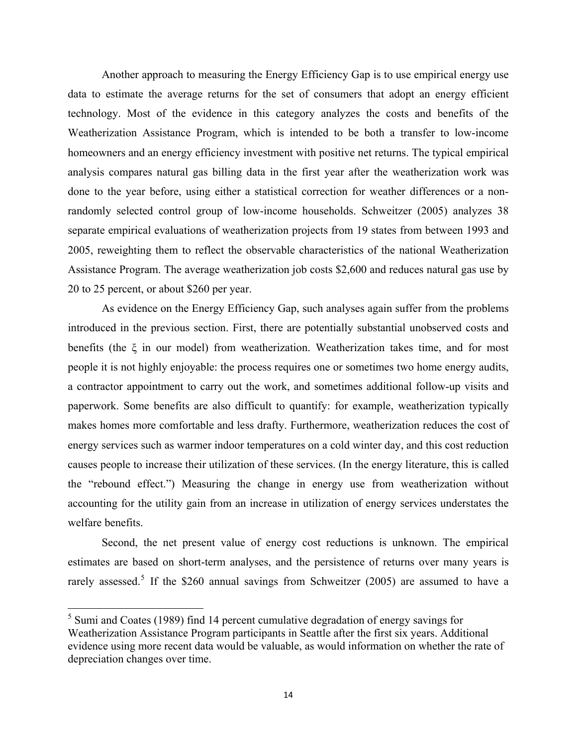Another approach to measuring the Energy Efficiency Gap is to use empirical energy use data to estimate the average returns for the set of consumers that adopt an energy efficient technology. Most of the evidence in this category analyzes the costs and benefits of the Weatherization Assistance Program, which is intended to be both a transfer to low-income homeowners and an energy efficiency investment with positive net returns. The typical empirical analysis compares natural gas billing data in the first year after the weatherization work was done to the year before, using either a statistical correction for weather differences or a nonrandomly selected control group of low-income households. Schweitzer (2005) analyzes 38 separate empirical evaluations of weatherization projects from 19 states from between 1993 and 2005, reweighting them to reflect the observable characteristics of the national Weatherization Assistance Program. The average weatherization job costs \$2,600 and reduces natural gas use by 20 to 25 percent, or about \$260 per year.

As evidence on the Energy Efficiency Gap, such analyses again suffer from the problems introduced in the previous section. First, there are potentially substantial unobserved costs and benefits (the ξ in our model) from weatherization. Weatherization takes time, and for most people it is not highly enjoyable: the process requires one or sometimes two home energy audits, a contractor appointment to carry out the work, and sometimes additional follow-up visits and paperwork. Some benefits are also difficult to quantify: for example, weatherization typically makes homes more comfortable and less drafty. Furthermore, weatherization reduces the cost of energy services such as warmer indoor temperatures on a cold winter day, and this cost reduction causes people to increase their utilization of these services. (In the energy literature, this is called the "rebound effect.") Measuring the change in energy use from weatherization without accounting for the utility gain from an increase in utilization of energy services understates the welfare benefits.

Second, the net present value of energy cost reductions is unknown. The empirical estimates are based on short-term analyses, and the persistence of returns over many years is rarely assessed.<sup>[5](#page-14-0)</sup> If the \$260 annual savings from Schweitzer (2005) are assumed to have a

<span id="page-14-0"></span><sup>&</sup>lt;sup>5</sup> Sumi and Coates (1989) find 14 percent cumulative degradation of energy savings for Weatherization Assistance Program participants in Seattle after the first six years. Additional evidence using more recent data would be valuable, as would information on whether the rate of depreciation changes over time.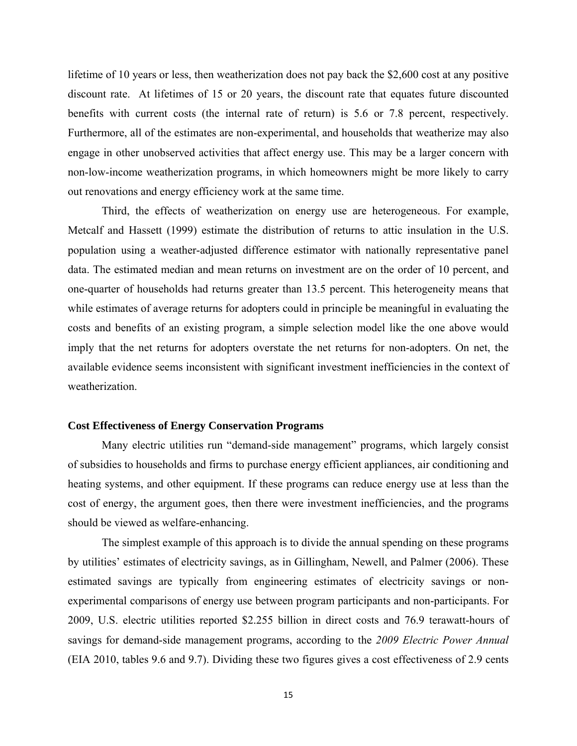lifetime of 10 years or less, then weatherization does not pay back the \$2,600 cost at any positive discount rate. At lifetimes of 15 or 20 years, the discount rate that equates future discounted benefits with current costs (the internal rate of return) is 5.6 or 7.8 percent, respectively. Furthermore, all of the estimates are non-experimental, and households that weatherize may also engage in other unobserved activities that affect energy use. This may be a larger concern with non-low-income weatherization programs, in which homeowners might be more likely to carry out renovations and energy efficiency work at the same time.

Third, the effects of weatherization on energy use are heterogeneous. For example, Metcalf and Hassett (1999) estimate the distribution of returns to attic insulation in the U.S. population using a weather-adjusted difference estimator with nationally representative panel data. The estimated median and mean returns on investment are on the order of 10 percent, and one-quarter of households had returns greater than 13.5 percent. This heterogeneity means that while estimates of average returns for adopters could in principle be meaningful in evaluating the costs and benefits of an existing program, a simple selection model like the one above would imply that the net returns for adopters overstate the net returns for non-adopters. On net, the available evidence seems inconsistent with significant investment inefficiencies in the context of weatherization.

#### **Cost Effectiveness of Energy Conservation Programs**

Many electric utilities run "demand-side management" programs, which largely consist of subsidies to households and firms to purchase energy efficient appliances, air conditioning and heating systems, and other equipment. If these programs can reduce energy use at less than the cost of energy, the argument goes, then there were investment inefficiencies, and the programs should be viewed as welfare-enhancing.

The simplest example of this approach is to divide the annual spending on these programs by utilities' estimates of electricity savings, as in Gillingham, Newell, and Palmer (2006). These estimated savings are typically from engineering estimates of electricity savings or nonexperimental comparisons of energy use between program participants and non-participants. For 2009, U.S. electric utilities reported \$2.255 billion in direct costs and 76.9 terawatt-hours of savings for demand-side management programs, according to the *2009 Electric Power Annual* (EIA 2010, tables 9.6 and 9.7). Dividing these two figures gives a cost effectiveness of 2.9 cents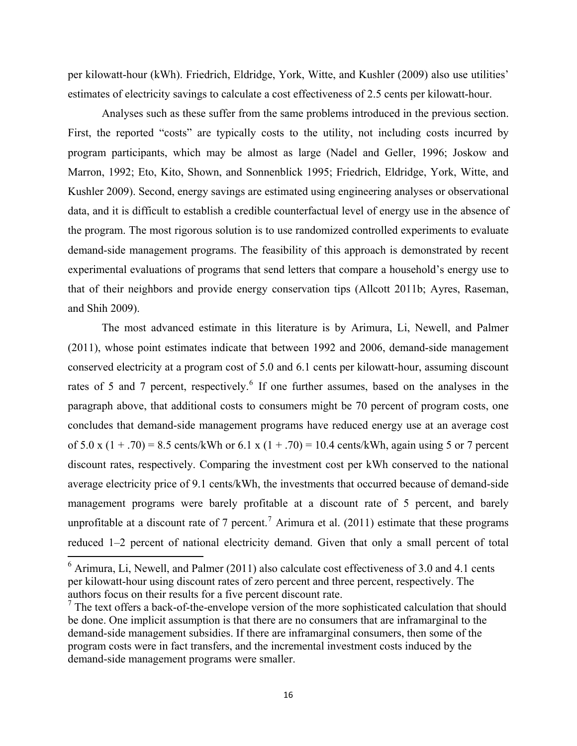per kilowatt-hour (kWh). Friedrich, Eldridge, York, Witte, and Kushler (2009) also use utilities' estimates of electricity savings to calculate a cost effectiveness of 2.5 cents per kilowatt-hour.

Analyses such as these suffer from the same problems introduced in the previous section. First, the reported "costs" are typically costs to the utility, not including costs incurred by program participants, which may be almost as large (Nadel and Geller, 1996; Joskow and Marron, 1992; Eto, Kito, Shown, and Sonnenblick 1995; Friedrich, Eldridge, York, Witte, and Kushler 2009). Second, energy savings are estimated using engineering analyses or observational data, and it is difficult to establish a credible counterfactual level of energy use in the absence of the program. The most rigorous solution is to use randomized controlled experiments to evaluate demand-side management programs. The feasibility of this approach is demonstrated by recent experimental evaluations of programs that send letters that compare a household's energy use to that of their neighbors and provide energy conservation tips (Allcott 2011b; Ayres, Raseman, and Shih 2009).

The most advanced estimate in this literature is by Arimura, Li, Newell, and Palmer (2011), whose point estimates indicate that between 1992 and 2006, demand-side management conserved electricity at a program cost of 5.0 and 6.1 cents per kilowatt-hour, assuming discount rates of 5 and 7 percent, respectively. If one further assumes, based on the analyses in the paragraph above, that additional costs to consumers might be 70 percent of program costs, one concludes that demand-side management programs have reduced energy use at an average cost of  $5.0 \times (1 + .70) = 8.5$  cents/kWh or  $6.1 \times (1 + .70) = 10.4$  cents/kWh, again using 5 or 7 percent discount rates, respectively. Comparing the investment cost per kWh conserved to the national average electricity price of 9.1 cents/kWh, the investments that occurred because of demand-side management programs were barely profitable at a discount rate of 5 percent, and barely unprofitable at a discount rate of [7](#page-16-1) percent.<sup>7</sup> Arimura et al. (2011) estimate that these programs reduced 1–2 percent of national electricity demand. Given that only a small percent of total

<span id="page-16-0"></span><sup>&</sup>lt;sup>6</sup> Arimura, Li, Newell, and Palmer (2011) also calculate cost effectiveness of 3.0 and 4.1 cents per kilowatt-hour using discount rates of zero percent and three percent, respectively. The authors focus on their results for a five percent discount rate.

<span id="page-16-1"></span> $<sup>7</sup>$  The text offers a back-of-the-envelope version of the more sophisticated calculation that should</sup> be done. One implicit assumption is that there are no consumers that are inframarginal to the demand-side management subsidies. If there are inframarginal consumers, then some of the program costs were in fact transfers, and the incremental investment costs induced by the demand-side management programs were smaller.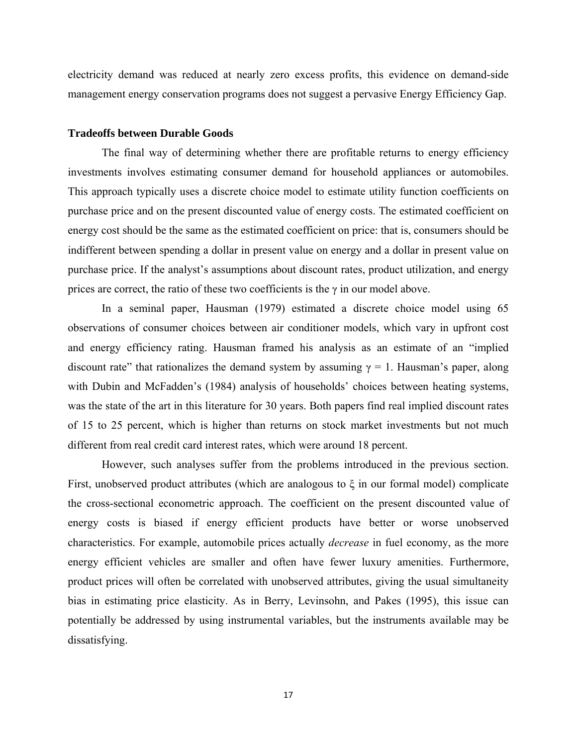electricity demand was reduced at nearly zero excess profits, this evidence on demand-side management energy conservation programs does not suggest a pervasive Energy Efficiency Gap.

#### **Tradeoffs between Durable Goods**

The final way of determining whether there are profitable returns to energy efficiency investments involves estimating consumer demand for household appliances or automobiles. This approach typically uses a discrete choice model to estimate utility function coefficients on purchase price and on the present discounted value of energy costs. The estimated coefficient on energy cost should be the same as the estimated coefficient on price: that is, consumers should be indifferent between spending a dollar in present value on energy and a dollar in present value on purchase price. If the analyst's assumptions about discount rates, product utilization, and energy prices are correct, the ratio of these two coefficients is the  $\gamma$  in our model above.

In a seminal paper, Hausman (1979) estimated a discrete choice model using 65 observations of consumer choices between air conditioner models, which vary in upfront cost and energy efficiency rating. Hausman framed his analysis as an estimate of an "implied discount rate" that rationalizes the demand system by assuming  $\gamma = 1$ . Hausman's paper, along with Dubin and McFadden's (1984) analysis of households' choices between heating systems, was the state of the art in this literature for 30 years. Both papers find real implied discount rates of 15 to 25 percent, which is higher than returns on stock market investments but not much different from real credit card interest rates, which were around 18 percent.

However, such analyses suffer from the problems introduced in the previous section. First, unobserved product attributes (which are analogous to  $\xi$  in our formal model) complicate the cross-sectional econometric approach. The coefficient on the present discounted value of energy costs is biased if energy efficient products have better or worse unobserved characteristics. For example, automobile prices actually *decrease* in fuel economy, as the more energy efficient vehicles are smaller and often have fewer luxury amenities. Furthermore, product prices will often be correlated with unobserved attributes, giving the usual simultaneity bias in estimating price elasticity. As in Berry, Levinsohn, and Pakes (1995), this issue can potentially be addressed by using instrumental variables, but the instruments available may be dissatisfying.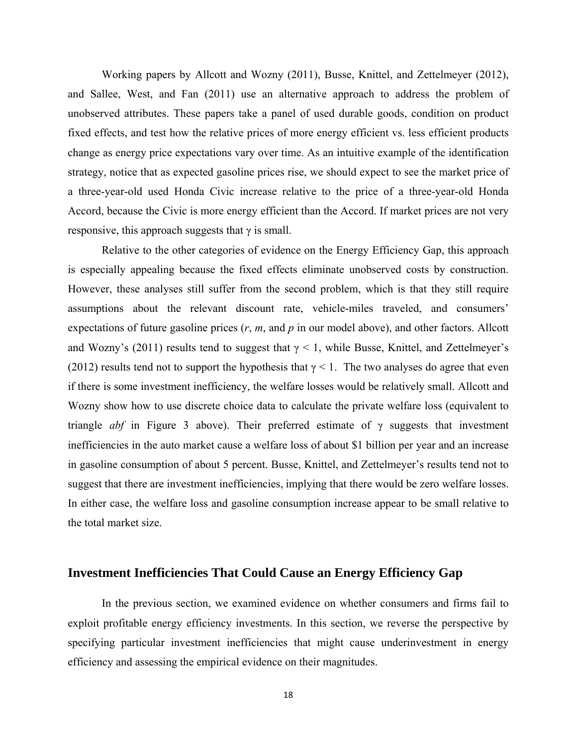Working papers by Allcott and Wozny (2011), Busse, Knittel, and Zettelmeyer (2012), and Sallee, West, and Fan (2011) use an alternative approach to address the problem of unobserved attributes. These papers take a panel of used durable goods, condition on product fixed effects, and test how the relative prices of more energy efficient vs. less efficient products change as energy price expectations vary over time. As an intuitive example of the identification strategy, notice that as expected gasoline prices rise, we should expect to see the market price of a three-year-old used Honda Civic increase relative to the price of a three-year-old Honda Accord, because the Civic is more energy efficient than the Accord. If market prices are not very responsive, this approach suggests that  $\gamma$  is small.

Relative to the other categories of evidence on the Energy Efficiency Gap, this approach is especially appealing because the fixed effects eliminate unobserved costs by construction. However, these analyses still suffer from the second problem, which is that they still require assumptions about the relevant discount rate, vehicle-miles traveled, and consumers' expectations of future gasoline prices (*r*, *m*, and *p* in our model above), and other factors. Allcott and Wozny's (2011) results tend to suggest that  $\gamma$  < 1, while Busse, Knittel, and Zettelmeyer's (2012) results tend not to support the hypothesis that  $\gamma$  < 1. The two analyses do agree that even if there is some investment inefficiency, the welfare losses would be relatively small. Allcott and Wozny show how to use discrete choice data to calculate the private welfare loss (equivalent to triangle *abf* in Figure 3 above). Their preferred estimate of γ suggests that investment inefficiencies in the auto market cause a welfare loss of about \$1 billion per year and an increase in gasoline consumption of about 5 percent. Busse, Knittel, and Zettelmeyer's results tend not to suggest that there are investment inefficiencies, implying that there would be zero welfare losses. In either case, the welfare loss and gasoline consumption increase appear to be small relative to the total market size.

## **Investment Inefficiencies That Could Cause an Energy Efficiency Gap**

In the previous section, we examined evidence on whether consumers and firms fail to exploit profitable energy efficiency investments. In this section, we reverse the perspective by specifying particular investment inefficiencies that might cause underinvestment in energy efficiency and assessing the empirical evidence on their magnitudes.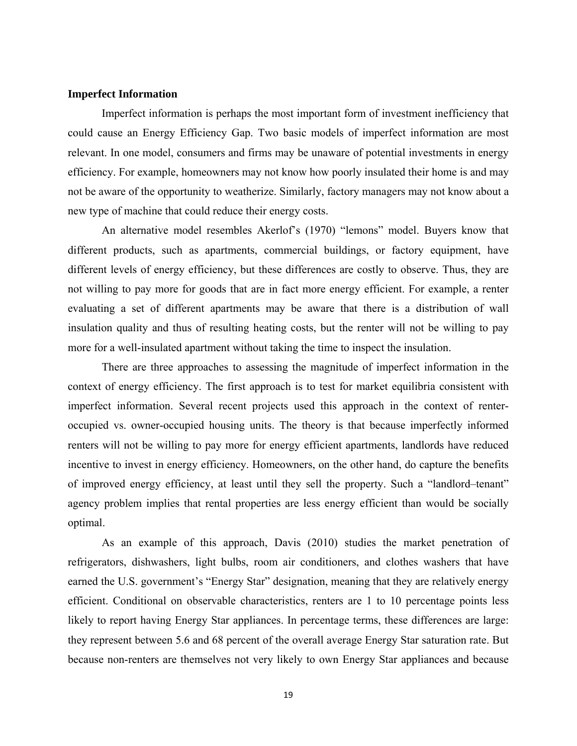#### **Imperfect Information**

Imperfect information is perhaps the most important form of investment inefficiency that could cause an Energy Efficiency Gap. Two basic models of imperfect information are most relevant. In one model, consumers and firms may be unaware of potential investments in energy efficiency. For example, homeowners may not know how poorly insulated their home is and may not be aware of the opportunity to weatherize. Similarly, factory managers may not know about a new type of machine that could reduce their energy costs.

An alternative model resembles Akerlof's (1970) "lemons" model. Buyers know that different products, such as apartments, commercial buildings, or factory equipment, have different levels of energy efficiency, but these differences are costly to observe. Thus, they are not willing to pay more for goods that are in fact more energy efficient. For example, a renter evaluating a set of different apartments may be aware that there is a distribution of wall insulation quality and thus of resulting heating costs, but the renter will not be willing to pay more for a well-insulated apartment without taking the time to inspect the insulation.

There are three approaches to assessing the magnitude of imperfect information in the context of energy efficiency. The first approach is to test for market equilibria consistent with imperfect information. Several recent projects used this approach in the context of renteroccupied vs. owner-occupied housing units. The theory is that because imperfectly informed renters will not be willing to pay more for energy efficient apartments, landlords have reduced incentive to invest in energy efficiency. Homeowners, on the other hand, do capture the benefits of improved energy efficiency, at least until they sell the property. Such a "landlord–tenant" agency problem implies that rental properties are less energy efficient than would be socially optimal.

As an example of this approach, Davis (2010) studies the market penetration of refrigerators, dishwashers, light bulbs, room air conditioners, and clothes washers that have earned the U.S. government's "Energy Star" designation, meaning that they are relatively energy efficient. Conditional on observable characteristics, renters are 1 to 10 percentage points less likely to report having Energy Star appliances. In percentage terms, these differences are large: they represent between 5.6 and 68 percent of the overall average Energy Star saturation rate. But because non-renters are themselves not very likely to own Energy Star appliances and because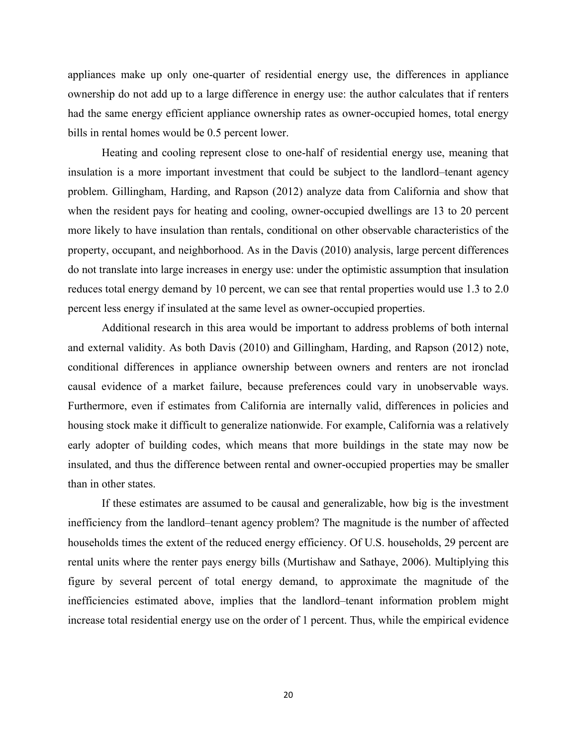appliances make up only one-quarter of residential energy use, the differences in appliance ownership do not add up to a large difference in energy use: the author calculates that if renters had the same energy efficient appliance ownership rates as owner-occupied homes, total energy bills in rental homes would be 0.5 percent lower.

Heating and cooling represent close to one-half of residential energy use, meaning that insulation is a more important investment that could be subject to the landlord–tenant agency problem. Gillingham, Harding, and Rapson (2012) analyze data from California and show that when the resident pays for heating and cooling, owner-occupied dwellings are 13 to 20 percent more likely to have insulation than rentals, conditional on other observable characteristics of the property, occupant, and neighborhood. As in the Davis (2010) analysis, large percent differences do not translate into large increases in energy use: under the optimistic assumption that insulation reduces total energy demand by 10 percent, we can see that rental properties would use 1.3 to 2.0 percent less energy if insulated at the same level as owner-occupied properties.

Additional research in this area would be important to address problems of both internal and external validity. As both Davis (2010) and Gillingham, Harding, and Rapson (2012) note, conditional differences in appliance ownership between owners and renters are not ironclad causal evidence of a market failure, because preferences could vary in unobservable ways. Furthermore, even if estimates from California are internally valid, differences in policies and housing stock make it difficult to generalize nationwide. For example, California was a relatively early adopter of building codes, which means that more buildings in the state may now be insulated, and thus the difference between rental and owner-occupied properties may be smaller than in other states.

If these estimates are assumed to be causal and generalizable, how big is the investment inefficiency from the landlord–tenant agency problem? The magnitude is the number of affected households times the extent of the reduced energy efficiency. Of U.S. households, 29 percent are rental units where the renter pays energy bills (Murtishaw and Sathaye, 2006). Multiplying this figure by several percent of total energy demand, to approximate the magnitude of the inefficiencies estimated above, implies that the landlord–tenant information problem might increase total residential energy use on the order of 1 percent. Thus, while the empirical evidence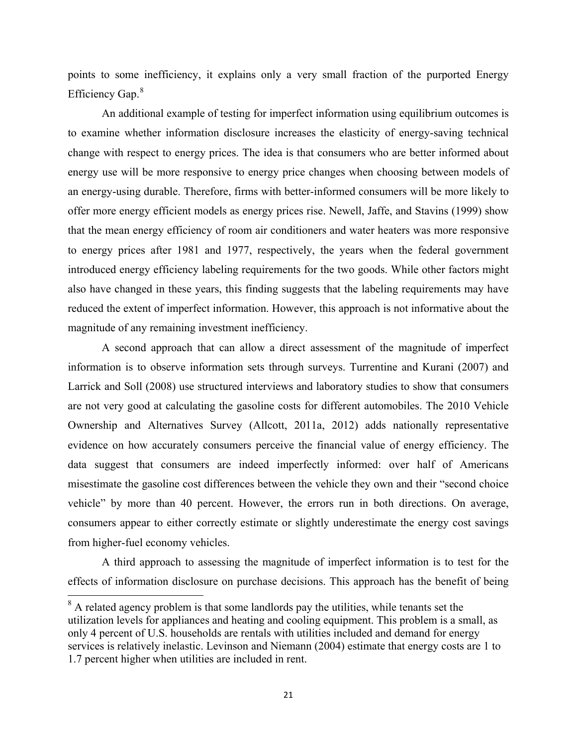points to some inefficiency, it explains only a very small fraction of the purported Energy Efficiency Gap.<sup>[8](#page-21-0)</sup>

An additional example of testing for imperfect information using equilibrium outcomes is to examine whether information disclosure increases the elasticity of energy-saving technical change with respect to energy prices. The idea is that consumers who are better informed about energy use will be more responsive to energy price changes when choosing between models of an energy-using durable. Therefore, firms with better-informed consumers will be more likely to offer more energy efficient models as energy prices rise. Newell, Jaffe, and Stavins (1999) show that the mean energy efficiency of room air conditioners and water heaters was more responsive to energy prices after 1981 and 1977, respectively, the years when the federal government introduced energy efficiency labeling requirements for the two goods. While other factors might also have changed in these years, this finding suggests that the labeling requirements may have reduced the extent of imperfect information. However, this approach is not informative about the magnitude of any remaining investment inefficiency.

A second approach that can allow a direct assessment of the magnitude of imperfect information is to observe information sets through surveys. Turrentine and Kurani (2007) and Larrick and Soll (2008) use structured interviews and laboratory studies to show that consumers are not very good at calculating the gasoline costs for different automobiles. The 2010 Vehicle Ownership and Alternatives Survey (Allcott, 2011a, 2012) adds nationally representative evidence on how accurately consumers perceive the financial value of energy efficiency. The data suggest that consumers are indeed imperfectly informed: over half of Americans misestimate the gasoline cost differences between the vehicle they own and their "second choice vehicle" by more than 40 percent. However, the errors run in both directions. On average, consumers appear to either correctly estimate or slightly underestimate the energy cost savings from higher-fuel economy vehicles.

A third approach to assessing the magnitude of imperfect information is to test for the effects of information disclosure on purchase decisions. This approach has the benefit of being

<span id="page-21-0"></span> $8<sup>8</sup>$  A related agency problem is that some landlords pay the utilities, while tenants set the utilization levels for appliances and heating and cooling equipment. This problem is a small, as only 4 percent of U.S. households are rentals with utilities included and demand for energy services is relatively inelastic. Levinson and Niemann (2004) estimate that energy costs are 1 to 1.7 percent higher when utilities are included in rent.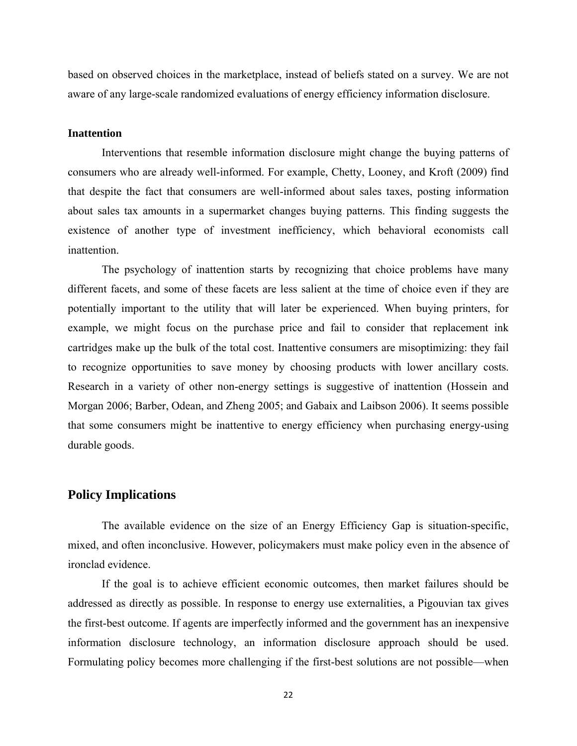based on observed choices in the marketplace, instead of beliefs stated on a survey. We are not aware of any large-scale randomized evaluations of energy efficiency information disclosure.

#### **Inattention**

Interventions that resemble information disclosure might change the buying patterns of consumers who are already well-informed. For example, Chetty, Looney, and Kroft (2009) find that despite the fact that consumers are well-informed about sales taxes, posting information about sales tax amounts in a supermarket changes buying patterns. This finding suggests the existence of another type of investment inefficiency, which behavioral economists call inattention.

The psychology of inattention starts by recognizing that choice problems have many different facets, and some of these facets are less salient at the time of choice even if they are potentially important to the utility that will later be experienced. When buying printers, for example, we might focus on the purchase price and fail to consider that replacement ink cartridges make up the bulk of the total cost. Inattentive consumers are misoptimizing: they fail to recognize opportunities to save money by choosing products with lower ancillary costs. Research in a variety of other non-energy settings is suggestive of inattention (Hossein and Morgan 2006; Barber, Odean, and Zheng 2005; and Gabaix and Laibson 2006). It seems possible that some consumers might be inattentive to energy efficiency when purchasing energy-using durable goods.

## **Policy Implications**

The available evidence on the size of an Energy Efficiency Gap is situation-specific, mixed, and often inconclusive. However, policymakers must make policy even in the absence of ironclad evidence.

If the goal is to achieve efficient economic outcomes, then market failures should be addressed as directly as possible. In response to energy use externalities, a Pigouvian tax gives the first-best outcome. If agents are imperfectly informed and the government has an inexpensive information disclosure technology, an information disclosure approach should be used. Formulating policy becomes more challenging if the first-best solutions are not possible—when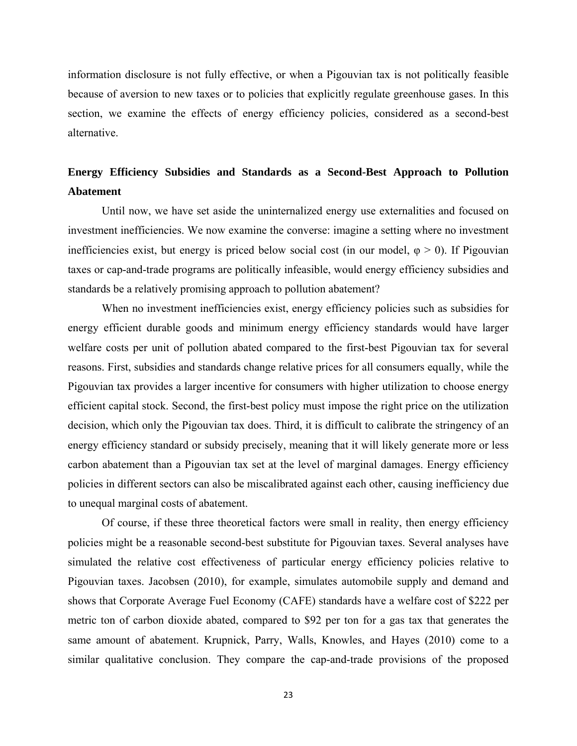information disclosure is not fully effective, or when a Pigouvian tax is not politically feasible because of aversion to new taxes or to policies that explicitly regulate greenhouse gases. In this section, we examine the effects of energy efficiency policies, considered as a second-best alternative.

## **Energy Efficiency Subsidies and Standards as a Second-Best Approach to Pollution Abatement**

Until now, we have set aside the uninternalized energy use externalities and focused on investment inefficiencies. We now examine the converse: imagine a setting where no investment inefficiencies exist, but energy is priced below social cost (in our model,  $\varphi > 0$ ). If Pigouvian taxes or cap-and-trade programs are politically infeasible, would energy efficiency subsidies and standards be a relatively promising approach to pollution abatement?

When no investment inefficiencies exist, energy efficiency policies such as subsidies for energy efficient durable goods and minimum energy efficiency standards would have larger welfare costs per unit of pollution abated compared to the first-best Pigouvian tax for several reasons. First, subsidies and standards change relative prices for all consumers equally, while the Pigouvian tax provides a larger incentive for consumers with higher utilization to choose energy efficient capital stock. Second, the first-best policy must impose the right price on the utilization decision, which only the Pigouvian tax does. Third, it is difficult to calibrate the stringency of an energy efficiency standard or subsidy precisely, meaning that it will likely generate more or less carbon abatement than a Pigouvian tax set at the level of marginal damages. Energy efficiency policies in different sectors can also be miscalibrated against each other, causing inefficiency due to unequal marginal costs of abatement.

Of course, if these three theoretical factors were small in reality, then energy efficiency policies might be a reasonable second-best substitute for Pigouvian taxes. Several analyses have simulated the relative cost effectiveness of particular energy efficiency policies relative to Pigouvian taxes. Jacobsen (2010), for example, simulates automobile supply and demand and shows that Corporate Average Fuel Economy (CAFE) standards have a welfare cost of \$222 per metric ton of carbon dioxide abated, compared to \$92 per ton for a gas tax that generates the same amount of abatement. Krupnick, Parry, Walls, Knowles, and Hayes (2010) come to a similar qualitative conclusion. They compare the cap-and-trade provisions of the proposed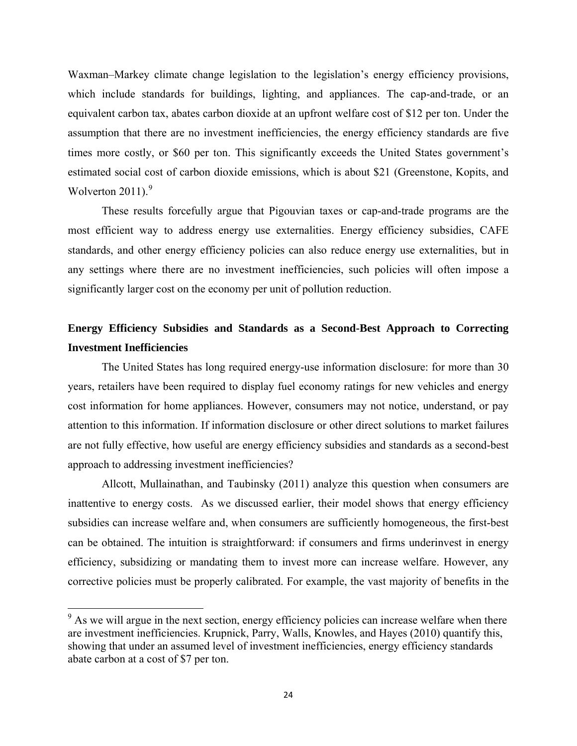Waxman–Markey climate change legislation to the legislation's energy efficiency provisions, which include standards for buildings, lighting, and appliances. The cap-and-trade, or an equivalent carbon tax, abates carbon dioxide at an upfront welfare cost of \$12 per ton. Under the assumption that there are no investment inefficiencies, the energy efficiency standards are five times more costly, or \$60 per ton. This significantly exceeds the United States government's estimated social cost of carbon dioxide emissions, which is about \$21 (Greenstone, Kopits, and Wolverton  $2011$ .<sup>[9](#page-24-0)</sup>

These results forcefully argue that Pigouvian taxes or cap-and-trade programs are the most efficient way to address energy use externalities. Energy efficiency subsidies, CAFE standards, and other energy efficiency policies can also reduce energy use externalities, but in any settings where there are no investment inefficiencies, such policies will often impose a significantly larger cost on the economy per unit of pollution reduction.

## **Energy Efficiency Subsidies and Standards as a Second-Best Approach to Correcting Investment Inefficiencies**

The United States has long required energy-use information disclosure: for more than 30 years, retailers have been required to display fuel economy ratings for new vehicles and energy cost information for home appliances. However, consumers may not notice, understand, or pay attention to this information. If information disclosure or other direct solutions to market failures are not fully effective, how useful are energy efficiency subsidies and standards as a second-best approach to addressing investment inefficiencies?

Allcott, Mullainathan, and Taubinsky (2011) analyze this question when consumers are inattentive to energy costs. As we discussed earlier, their model shows that energy efficiency subsidies can increase welfare and, when consumers are sufficiently homogeneous, the first-best can be obtained. The intuition is straightforward: if consumers and firms underinvest in energy efficiency, subsidizing or mandating them to invest more can increase welfare. However, any corrective policies must be properly calibrated. For example, the vast majority of benefits in the

<span id="page-24-0"></span><sup>&</sup>lt;sup>9</sup> As we will argue in the next section, energy efficiency policies can increase welfare when there are investment inefficiencies. Krupnick, Parry, Walls, Knowles, and Hayes (2010) quantify this, showing that under an assumed level of investment inefficiencies, energy efficiency standards abate carbon at a cost of \$7 per ton.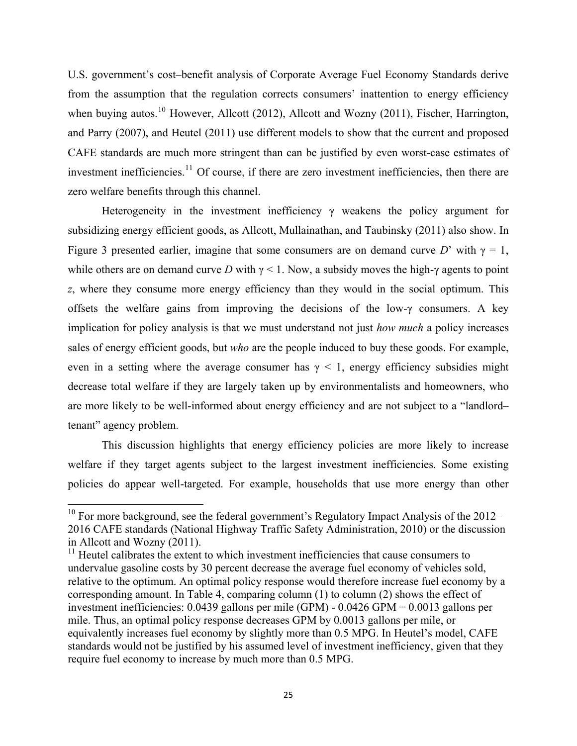U.S. government's cost–benefit analysis of Corporate Average Fuel Economy Standards derive from the assumption that the regulation corrects consumers' inattention to energy efficiency when buying autos.<sup>[10](#page-25-0)</sup> However, Allcott (2012), Allcott and Wozny (2011), Fischer, Harrington, and Parry (2007), and Heutel (2011) use different models to show that the current and proposed CAFE standards are much more stringent than can be justified by even worst-case estimates of investment inefficiencies.<sup>[11](#page-25-1)</sup> Of course, if there are zero investment inefficiencies, then there are zero welfare benefits through this channel.

Heterogeneity in the investment inefficiency γ weakens the policy argument for subsidizing energy efficient goods, as Allcott, Mullainathan, and Taubinsky (2011) also show. In Figure 3 presented earlier, imagine that some consumers are on demand curve *D*' with  $\gamma = 1$ , while others are on demand curve *D* with  $\gamma$  < 1. Now, a subsidy moves the high- $\gamma$  agents to point *z*, where they consume more energy efficiency than they would in the social optimum. This offsets the welfare gains from improving the decisions of the low-γ consumers. A key implication for policy analysis is that we must understand not just *how much* a policy increases sales of energy efficient goods, but *who* are the people induced to buy these goods. For example, even in a setting where the average consumer has  $\gamma$  < 1, energy efficiency subsidies might decrease total welfare if they are largely taken up by environmentalists and homeowners, who are more likely to be well-informed about energy efficiency and are not subject to a "landlord– tenant" agency problem.

This discussion highlights that energy efficiency policies are more likely to increase welfare if they target agents subject to the largest investment inefficiencies. Some existing policies do appear well-targeted. For example, households that use more energy than other

<span id="page-25-0"></span> $10$  For more background, see the federal government's Regulatory Impact Analysis of the 2012– 2016 CAFE standards (National Highway Traffic Safety Administration, 2010) or the discussion in Allcott and Wozny (2011).

<span id="page-25-1"></span> $11$  Heutel calibrates the extent to which investment inefficiencies that cause consumers to undervalue gasoline costs by 30 percent decrease the average fuel economy of vehicles sold, relative to the optimum. An optimal policy response would therefore increase fuel economy by a corresponding amount. In Table 4, comparing column (1) to column (2) shows the effect of investment inefficiencies: 0.0439 gallons per mile (GPM) - 0.0426 GPM = 0.0013 gallons per mile. Thus, an optimal policy response decreases GPM by 0.0013 gallons per mile, or equivalently increases fuel economy by slightly more than 0.5 MPG. In Heutel's model, CAFE standards would not be justified by his assumed level of investment inefficiency, given that they require fuel economy to increase by much more than 0.5 MPG.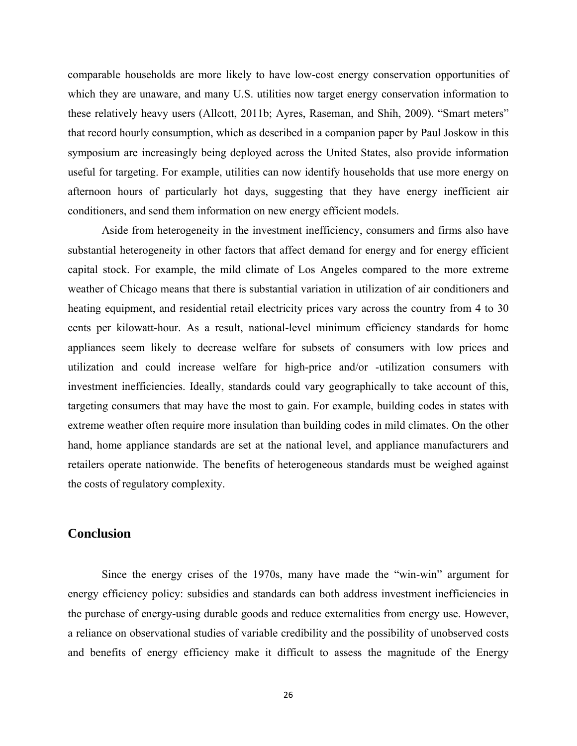comparable households are more likely to have low-cost energy conservation opportunities of which they are unaware, and many U.S. utilities now target energy conservation information to these relatively heavy users (Allcott, 2011b; Ayres, Raseman, and Shih, 2009). "Smart meters" that record hourly consumption, which as described in a companion paper by Paul Joskow in this symposium are increasingly being deployed across the United States, also provide information useful for targeting. For example, utilities can now identify households that use more energy on afternoon hours of particularly hot days, suggesting that they have energy inefficient air conditioners, and send them information on new energy efficient models.

Aside from heterogeneity in the investment inefficiency, consumers and firms also have substantial heterogeneity in other factors that affect demand for energy and for energy efficient capital stock. For example, the mild climate of Los Angeles compared to the more extreme weather of Chicago means that there is substantial variation in utilization of air conditioners and heating equipment, and residential retail electricity prices vary across the country from 4 to 30 cents per kilowatt-hour. As a result, national-level minimum efficiency standards for home appliances seem likely to decrease welfare for subsets of consumers with low prices and utilization and could increase welfare for high-price and/or -utilization consumers with investment inefficiencies. Ideally, standards could vary geographically to take account of this, targeting consumers that may have the most to gain. For example, building codes in states with extreme weather often require more insulation than building codes in mild climates. On the other hand, home appliance standards are set at the national level, and appliance manufacturers and retailers operate nationwide. The benefits of heterogeneous standards must be weighed against the costs of regulatory complexity.

## **Conclusion**

Since the energy crises of the 1970s, many have made the "win-win" argument for energy efficiency policy: subsidies and standards can both address investment inefficiencies in the purchase of energy-using durable goods and reduce externalities from energy use. However, a reliance on observational studies of variable credibility and the possibility of unobserved costs and benefits of energy efficiency make it difficult to assess the magnitude of the Energy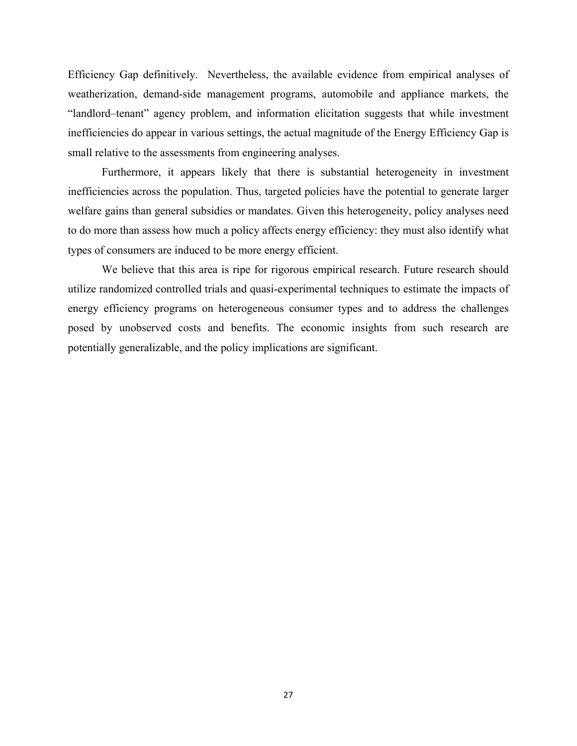Efficiency Gap definitively. Nevertheless, the available evidence from empirical analyses of weatherization, demand-side management programs, automobile and appliance markets, the "landlord–tenant" agency problem, and information elicitation suggests that while investment inefficiencies do appear in various settings, the actual magnitude of the Energy Efficiency Gap is small relative to the assessments from engineering analyses.

Furthermore, it appears likely that there is substantial heterogeneity in investment inefficiencies across the population. Thus, targeted policies have the potential to generate larger welfare gains than general subsidies or mandates. Given this heterogeneity, policy analyses need to do more than assess how much a policy affects energy efficiency: they must also identify what types of consumers are induced to be more energy efficient.

We believe that this area is ripe for rigorous empirical research. Future research should utilize randomized controlled trials and quasi-experimental techniques to estimate the impacts of energy efficiency programs on heterogeneous consumer types and to address the challenges posed by unobserved costs and benefits. The economic insights from such research are potentially generalizable, and the policy implications are significant.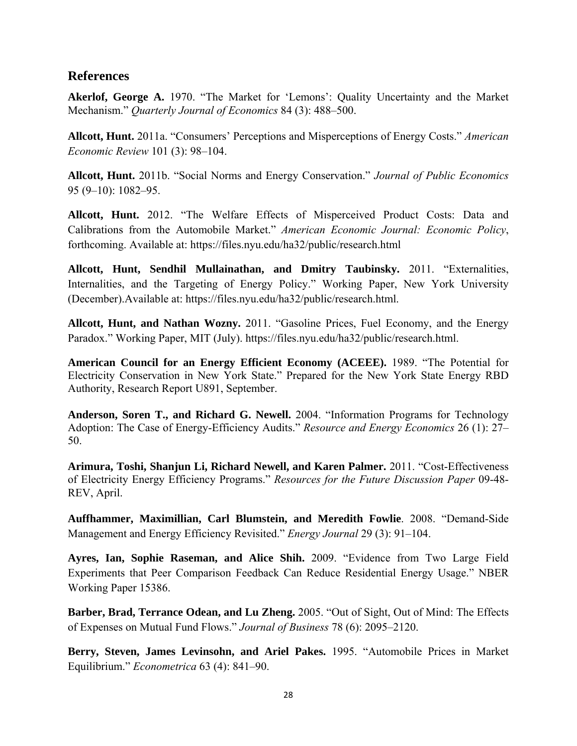## **References**

**Akerlof, George A.** 1970. "The Market for 'Lemons': Quality Uncertainty and the Market Mechanism." *Quarterly Journal of Economics* 84 (3): 488–500.

**Allcott, Hunt.** 2011a. "Consumers' Perceptions and Misperceptions of Energy Costs." *American Economic Review* 101 (3): 98–104.

**Allcott, Hunt.** 2011b. "Social Norms and Energy Conservation." *Journal of Public Economics* 95 (9–10): 1082–95.

**Allcott, Hunt.** 2012. "The Welfare Effects of Misperceived Product Costs: Data and Calibrations from the Automobile Market." *American Economic Journal: Economic Policy*, forthcoming. Available at: https://files.nyu.edu/ha32/public/research.html

**Allcott, Hunt, Sendhil Mullainathan, and Dmitry Taubinsky.** 2011. "Externalities, Internalities, and the Targeting of Energy Policy." Working Paper, New York University (December).Available at: [https://files.nyu.edu/ha32/public/research.html.](https://files.nyu.edu/ha32/public/research.html)

**Allcott, Hunt, and Nathan Wozny.** 2011. "Gasoline Prices, Fuel Economy, and the Energy Paradox." Working Paper, MIT (July). <https://files.nyu.edu/ha32/public/research.html>.

**American Council for an Energy Efficient Economy (ACEEE).** 1989. "The Potential for Electricity Conservation in New York State." Prepared for the New York State Energy RBD Authority, Research Report U891, September.

**Anderson, Soren T., and Richard G. Newell.** 2004. "Information Programs for Technology Adoption: The Case of Energy-Efficiency Audits." *Resource and Energy Economics* 26 (1): 27– 50.

**Arimura, Toshi, Shanjun Li, Richard Newell, and Karen Palmer.** 2011. "Cost-Effectiveness of Electricity Energy Efficiency Programs." *Resources for the Future Discussion Paper* 09-48- REV, April.

**Auffhammer, Maximillian, Carl Blumstein, and Meredith Fowlie**. 2008. "Demand-Side Management and Energy Efficiency Revisited." *Energy Journal* 29 (3): 91–104.

**Ayres, Ian, Sophie Raseman, and Alice Shih.** 2009. "Evidence from Two Large Field Experiments that Peer Comparison Feedback Can Reduce Residential Energy Usage." NBER Working Paper 15386.

**Barber, Brad, Terrance Odean, and Lu Zheng.** 2005. "Out of Sight, Out of Mind: The Effects of Expenses on Mutual Fund Flows." *Journal of Business* 78 (6): 2095–2120.

**Berry, Steven, James Levinsohn, and Ariel Pakes.** 1995. "Automobile Prices in Market Equilibrium." *Econometrica* 63 (4): 841–90.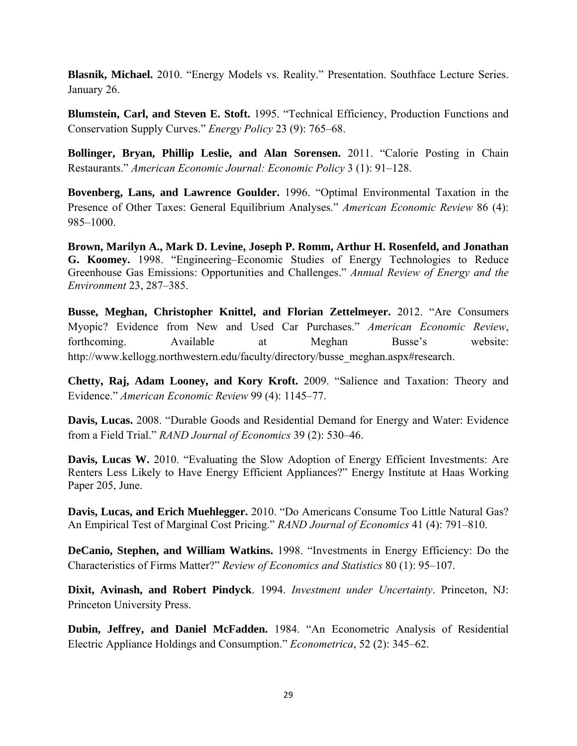**Blasnik, Michael.** 2010. "Energy Models vs. Reality." Presentation. Southface Lecture Series. January 26.

**Blumstein, Carl, and Steven E. Stoft.** 1995. "Technical Efficiency, Production Functions and Conservation Supply Curves." *Energy Policy* 23 (9): 765–68.

**Bollinger, Bryan, Phillip Leslie, and Alan Sorensen.** 2011. "Calorie Posting in Chain Restaurants." *American Economic Journal: Economic Policy* 3 (1): 91–128.

**Bovenberg, Lans, and Lawrence Goulder.** 1996. "Optimal Environmental Taxation in the Presence of Other Taxes: General Equilibrium Analyses." *American Economic Review* 86 (4): 985–1000.

**Brown, Marilyn A., Mark D. Levine, Joseph P. Romm, Arthur H. Rosenfeld, and Jonathan G. Koomey.** 1998. "Engineering–Economic Studies of Energy Technologies to Reduce Greenhouse Gas Emissions: Opportunities and Challenges." *Annual Review of Energy and the Environment* 23, 287–385.

**Busse, Meghan, Christopher Knittel, and Florian Zettelmeyer.** 2012. "Are Consumers Myopic? Evidence from New and Used Car Purchases." *American Economic Review*, forthcoming. Available at Meghan Busse's website: http://www.kellogg.northwestern.edu/faculty/directory/busse\_meghan.aspx#research.

**Chetty, Raj, Adam Looney, and Kory Kroft.** 2009. "Salience and Taxation: Theory and Evidence." *American Economic Review* 99 (4): 1145–77.

**Davis, Lucas.** 2008. "Durable Goods and Residential Demand for Energy and Water: Evidence from a Field Trial." *RAND Journal of Economics* 39 (2): 530–46.

**Davis, Lucas W.** 2010. "Evaluating the Slow Adoption of Energy Efficient Investments: Are Renters Less Likely to Have Energy Efficient Appliances?" Energy Institute at Haas Working Paper 205, June.

**Davis, Lucas, and Erich Muehlegger.** 2010. "Do Americans Consume Too Little Natural Gas? An Empirical Test of Marginal Cost Pricing." *RAND Journal of Economics* 41 (4): 791–810.

**DeCanio, Stephen, and William Watkins.** 1998. "Investments in Energy Efficiency: Do the Characteristics of Firms Matter?" *Review of Economics and Statistics* 80 (1): 95–107.

**Dixit, Avinash, and Robert Pindyck**. 1994. *Investment under Uncertainty*. Princeton, NJ: Princeton University Press.

**Dubin, Jeffrey, and Daniel McFadden.** 1984. "An Econometric Analysis of Residential Electric Appliance Holdings and Consumption." *Econometrica*, 52 (2): 345–62.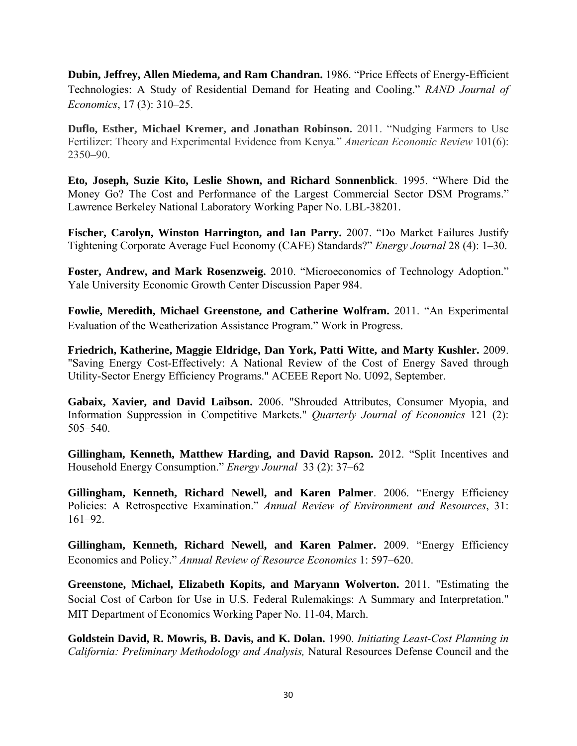**Dubin, Jeffrey, Allen Miedema, and Ram Chandran.** 1986. "Price Effects of Energy-Efficient Technologies: A Study of Residential Demand for Heating and Cooling." *RAND Journal of Economics*, 17 (3): 310–25.

**Duflo, Esther, Michael Kremer, and Jonathan Robinson.** 2011. "Nudging Farmers to Use Fertilizer: Theory and Experimental Evidence from Kenya*.*" *American Economic Review* 101(6): 2350–90.

**Eto, Joseph, Suzie Kito, Leslie Shown, and Richard Sonnenblick**. 1995. "Where Did the Money Go? The Cost and Performance of the Largest Commercial Sector DSM Programs." Lawrence Berkeley National Laboratory Working Paper No. LBL-38201.

**Fischer, Carolyn, Winston Harrington, and Ian Parry.** 2007. "Do Market Failures Justify Tightening Corporate Average Fuel Economy (CAFE) Standards?" *Energy Journal* 28 (4): 1–30.

**Foster, Andrew, and Mark Rosenzweig.** 2010. "Microeconomics of Technology Adoption." Yale University Economic Growth Center Discussion Paper 984.

**Fowlie, Meredith, Michael Greenstone, and Catherine Wolfram.** 2011. "An Experimental Evaluation of the Weatherization Assistance Program." Work in Progress.

**Friedrich, Katherine, Maggie Eldridge, Dan York, Patti Witte, and Marty Kushler.** 2009. "Saving Energy Cost-Effectively: A National Review of the Cost of Energy Saved through Utility-Sector Energy Efficiency Programs." ACEEE Report No. U092, September.

**Gabaix, Xavier, and David Laibson.** 2006. "Shrouded Attributes, Consumer Myopia, and Information Suppression in Competitive Markets." *Quarterly Journal of Economics* 121 (2): 505–540.

**Gillingham, Kenneth, Matthew Harding, and David Rapson.** 2012. "Split Incentives and Household Energy Consumption." *Energy Journal* 33 (2): 37–62

**Gillingham, Kenneth, Richard Newell, and Karen Palmer**. 2006. "Energy Efficiency Policies: A Retrospective Examination." *Annual Review of Environment and Resources*, 31: 161–92.

**Gillingham, Kenneth, Richard Newell, and Karen Palmer.** 2009. "Energy Efficiency Economics and Policy." *Annual Review of Resource Economics* 1: 597–620.

**Greenstone, Michael, Elizabeth Kopits, and Maryann Wolverton.** 2011. "Estimating the Social Cost of Carbon for Use in U.S. Federal Rulemakings: A Summary and Interpretation." MIT Department of Economics Working Paper No. 11-04, March.

**Goldstein David, R. Mowris, B. Davis, and K. Dolan.** 1990. *Initiating Least-Cost Planning in California: Preliminary Methodology and Analysis,* Natural Resources Defense Council and the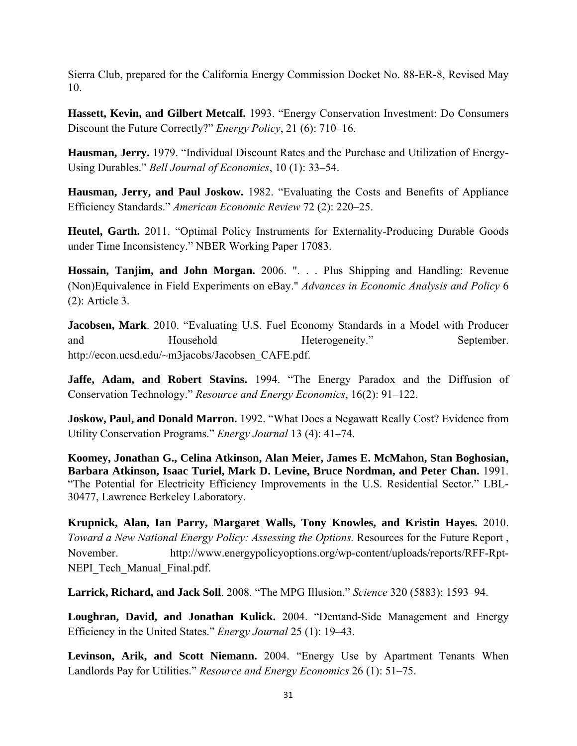Sierra Club, prepared for the California Energy Commission Docket No. 88-ER-8, Revised May 10.

**Hassett, Kevin, and Gilbert Metcalf.** 1993. "Energy Conservation Investment: Do Consumers Discount the Future Correctly?" *Energy Policy*, 21 (6): 710–16.

**Hausman, Jerry.** 1979. "Individual Discount Rates and the Purchase and Utilization of Energy-Using Durables." *Bell Journal of Economics*, 10 (1): 33–54.

**Hausman, Jerry, and Paul Joskow.** 1982. "Evaluating the Costs and Benefits of Appliance Efficiency Standards." *American Economic Review* 72 (2): 220–25.

**Heutel, Garth.** 2011. "Optimal Policy Instruments for Externality-Producing Durable Goods under Time Inconsistency." NBER Working Paper 17083.

**Hossain, Tanjim, and John Morgan.** 2006. ". . . Plus Shipping and Handling: Revenue (Non)Equivalence in Field Experiments on eBay." *Advances in Economic Analysis and Policy* 6 (2): Article 3.

**Jacobsen, Mark**. 2010. "Evaluating U.S. Fuel Economy Standards in a Model with Producer and Household Heterogeneity." September. http://econ.ucsd.edu/~m3jacobs/Jacobsen\_CAFE.pdf.

**Jaffe, Adam, and Robert Stavins.** 1994. "The Energy Paradox and the Diffusion of Conservation Technology." *Resource and Energy Economics*, 16(2): 91–122.

**Joskow, Paul, and Donald Marron.** 1992. "What Does a Negawatt Really Cost? Evidence from Utility Conservation Programs." *Energy Journal* 13 (4): 41–74.

**Koomey, Jonathan G., Celina Atkinson, Alan Meier, James E. McMahon, Stan Boghosian, Barbara Atkinson, Isaac Turiel, Mark D. Levine, Bruce Nordman, and Peter Chan.** 1991. "The Potential for Electricity Efficiency Improvements in the U.S. Residential Sector." LBL-30477, Lawrence Berkeley Laboratory.

**Krupnick, Alan, Ian Parry, Margaret Walls, Tony Knowles, and Kristin Hayes.** 2010. *Toward a New National Energy Policy: Assessing the Options.* Resources for the Future Report , November. http://www.energypolicyoptions.org/wp-content/uploads/reports/RFF-Rpt-NEPI Tech Manual Final.pdf.

**Larrick, Richard, and Jack Soll**. 2008. "The MPG Illusion." *Science* 320 (5883): 1593–94.

**Loughran, David, and Jonathan Kulick.** 2004. "Demand-Side Management and Energy Efficiency in the United States." *Energy Journal* 25 (1): 19–43.

**Levinson, Arik, and Scott Niemann.** 2004. "Energy Use by Apartment Tenants When Landlords Pay for Utilities." *Resource and Energy Economics* 26 (1): 51–75.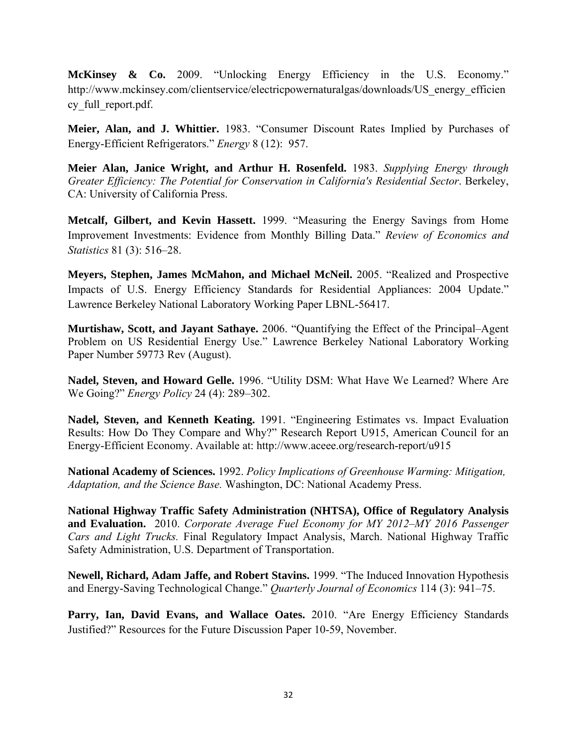**McKinsey & Co.** 2009. "Unlocking Energy Efficiency in the U.S. Economy." http://www.mckinsey.com/clientservice/electricpowernaturalgas/downloads/US\_energy\_efficien cy full report.pdf.

**Meier, Alan, and J. Whittier.** 1983. "Consumer Discount Rates Implied by Purchases of Energy-Efficient Refrigerators." *Energy* 8 (12): 957.

**Meier Alan, Janice Wright, and Arthur H. Rosenfeld.** 1983. *Supplying Energy through Greater Efficiency: The Potential for Conservation in California's Residential Sector*. Berkeley, CA: University of California Press.

**Metcalf, Gilbert, and Kevin Hassett.** 1999. "Measuring the Energy Savings from Home Improvement Investments: Evidence from Monthly Billing Data." *Review of Economics and Statistics* 81 (3): 516–28.

**Meyers, Stephen, James McMahon, and Michael McNeil.** 2005. "Realized and Prospective Impacts of U.S. Energy Efficiency Standards for Residential Appliances: 2004 Update." Lawrence Berkeley National Laboratory Working Paper LBNL-56417.

**Murtishaw, Scott, and Jayant Sathaye.** 2006. "Quantifying the Effect of the Principal–Agent Problem on US Residential Energy Use." Lawrence Berkeley National Laboratory Working Paper Number 59773 Rev (August).

**Nadel, Steven, and Howard Gelle.** 1996. "Utility DSM: What Have We Learned? Where Are We Going?" *Energy Policy* 24 (4): 289–302.

**Nadel, Steven, and Kenneth Keating.** 1991. "Engineering Estimates vs. Impact Evaluation Results: How Do They Compare and Why?" Research Report U915, American Council for an Energy-Efficient Economy. Available at: http://www.aceee.org/research-report/u915

**National Academy of Sciences.** 1992. *Policy Implications of Greenhouse Warming: Mitigation, Adaptation, and the Science Base.* Washington, DC: National Academy Press.

**National Highway Traffic Safety Administration (NHTSA), Office of Regulatory Analysis and Evaluation.** 2010. *Corporate Average Fuel Economy for MY 2012–MY 2016 Passenger Cars and Light Trucks.* Final Regulatory Impact Analysis, March. National Highway Traffic Safety Administration, U.S. Department of Transportation.

**Newell, Richard, Adam Jaffe, and Robert Stavins.** 1999. "The Induced Innovation Hypothesis and Energy-Saving Technological Change." *Quarterly Journal of Economics* 114 (3): 941–75.

Parry, Ian, David Evans, and Wallace Oates. 2010. "Are Energy Efficiency Standards Justified?" Resources for the Future Discussion Paper 10-59, November.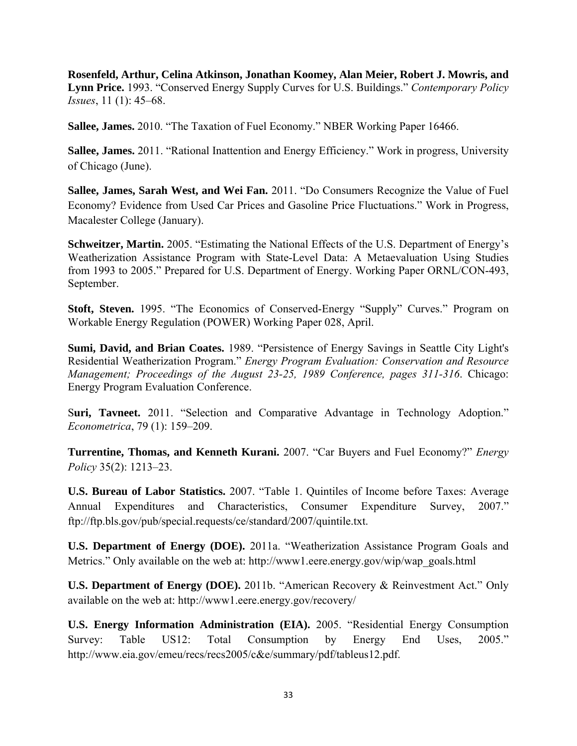**Rosenfeld, Arthur, Celina Atkinson, Jonathan Koomey, Alan Meier, Robert J. Mowris, and Lynn Price.** 1993. "Conserved Energy Supply Curves for U.S. Buildings." *Contemporary Policy Issues*, 11 (1): 45–68.

**Sallee, James.** 2010. "The Taxation of Fuel Economy." NBER Working Paper 16466.

**Sallee, James.** 2011. "Rational Inattention and Energy Efficiency." Work in progress, University of Chicago (June).

**Sallee, James, Sarah West, and Wei Fan.** 2011. "Do Consumers Recognize the Value of Fuel Economy? Evidence from Used Car Prices and Gasoline Price Fluctuations." Work in Progress, Macalester College (January).

**Schweitzer, Martin.** 2005. "Estimating the National Effects of the U.S. Department of Energy's Weatherization Assistance Program with State-Level Data: A Metaevaluation Using Studies from 1993 to 2005." Prepared for U.S. Department of Energy. Working Paper ORNL/CON-493, September.

**Stoft, Steven.** 1995. "The Economics of Conserved-Energy "Supply" Curves." Program on Workable Energy Regulation (POWER) Working Paper 028, April.

**Sumi, David, and Brian Coates.** 1989. "Persistence of Energy Savings in Seattle City Light's Residential Weatherization Program." *Energy Program Evaluation: Conservation and Resource Management; Proceedings of the August 23-25, 1989 Conference, pages 311-316*. Chicago: Energy Program Evaluation Conference.

Suri, Tavneet. 2011. "Selection and Comparative Advantage in Technology Adoption." *Econometrica*, 79 (1): 159–209.

**Turrentine, Thomas, and Kenneth Kurani.** 2007. "Car Buyers and Fuel Economy?" *Energy Policy* 35(2): 1213–23.

**U.S. Bureau of Labor Statistics.** 2007. "Table 1. Quintiles of Income before Taxes: Average Annual Expenditures and Characteristics, Consumer Expenditure Survey, 2007." ftp://ftp.bls.gov/pub/special.requests/ce/standard/2007/quintile.txt.

**U.S. Department of Energy (DOE).** 2011a. "Weatherization Assistance Program Goals and Metrics." Only available on the web at: http://www1.eere.energy.gov/wip/wap\_goals.html

**U.S. Department of Energy (DOE).** 2011b. "American Recovery & Reinvestment Act." Only available on the web at: http://www1.eere.energy.gov/recovery/

**U.S. Energy Information Administration (EIA).** 2005. "Residential Energy Consumption Survey: Table US12: Total Consumption by Energy End Uses, 2005." http://www.eia.gov/emeu/recs/recs2005/c&e/summary/pdf/tableus12.pdf.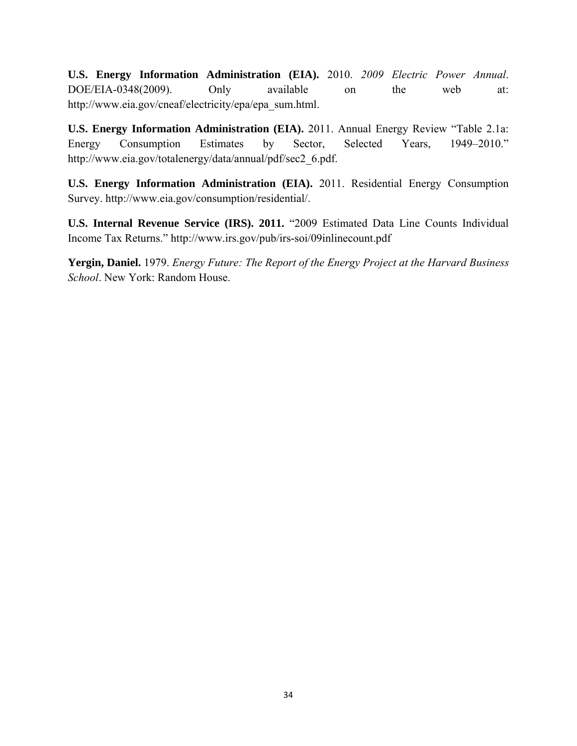**U.S. Energy Information Administration (EIA).** 2010. *2009 Electric Power Annual*. DOE/EIA-0348(2009). Only available on the web at: http://www.eia.gov/cneaf/electricity/epa/epa\_sum.html.

**U.S. Energy Information Administration (EIA).** 2011. Annual Energy Review "Table 2.1a: Energy Consumption Estimates by Sector, Selected Years, 1949–2010." http://www.eia.gov/totalenergy/data/annual/pdf/sec2\_6.pdf.

**U.S. Energy Information Administration (EIA).** 2011. Residential Energy Consumption Survey. http://www.eia.gov/consumption/residential/.

**U.S. Internal Revenue Service (IRS). 2011.** "2009 Estimated Data Line Counts Individual Income Tax Returns." http://www.irs.gov/pub/irs-soi/09inlinecount.pdf

**Yergin, Daniel.** 1979. *Energy Future: The Report of the Energy Project at the Harvard Business School*. New York: Random House.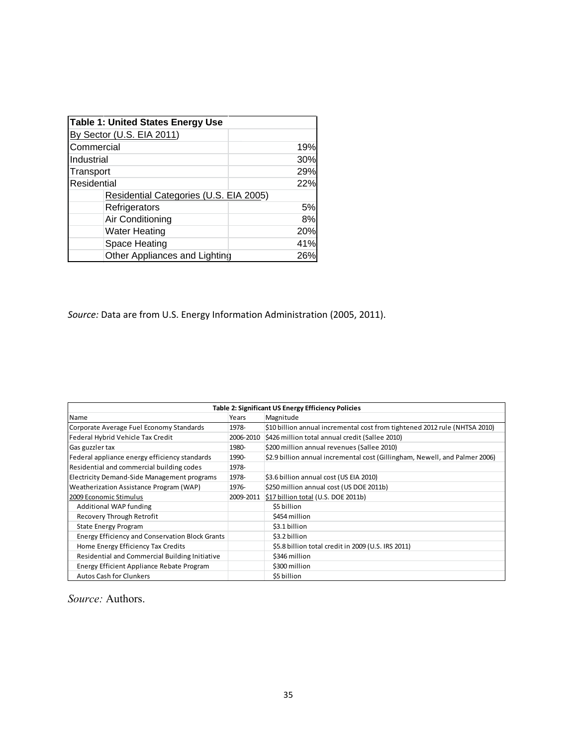| <b>Table 1: United States Energy Use</b> |     |
|------------------------------------------|-----|
| By Sector (U.S. EIA 2011)                |     |
| Commercial                               | 19% |
| Industrial                               | 30% |
| Transport                                | 29% |
| Residential<br>22%                       |     |
| Residential Categories (U.S. EIA 2005)   |     |
| Refrigerators                            | 5%  |
| Air Conditioning                         | 8%  |
| <b>Water Heating</b>                     | 20% |
| Space Heating                            | 41% |
| Other Appliances and Lighting            | 26% |

*Source:* Data are from U.S. Energy Information Administration (2005, 2011).

| Table 2: Significant US Energy Efficiency Policies     |           |                                                                             |  |
|--------------------------------------------------------|-----------|-----------------------------------------------------------------------------|--|
| Name                                                   | Years     | Magnitude                                                                   |  |
| Corporate Average Fuel Economy Standards               | 1978-     | \$10 billion annual incremental cost from tightened 2012 rule (NHTSA 2010)  |  |
| Federal Hybrid Vehicle Tax Credit                      | 2006-2010 | \$426 million total annual credit (Sallee 2010)                             |  |
| Gas guzzler tax                                        | 1980-     | \$200 million annual revenues (Sallee 2010)                                 |  |
| Federal appliance energy efficiency standards          | 1990-     | \$2.9 billion annual incremental cost (Gillingham, Newell, and Palmer 2006) |  |
| Residential and commercial building codes              | 1978-     |                                                                             |  |
| Electricity Demand-Side Management programs            | 1978-     | \$3.6 billion annual cost (US EIA 2010)                                     |  |
| Weatherization Assistance Program (WAP)                | 1976-     | \$250 million annual cost (US DOE 2011b)                                    |  |
| 2009 Economic Stimulus                                 | 2009-2011 | \$17 billion total (U.S. DOE 2011b)                                         |  |
| Additional WAP funding                                 |           | \$5 billion                                                                 |  |
| Recovery Through Retrofit                              |           | \$454 million                                                               |  |
| <b>State Energy Program</b>                            |           | \$3.1 billion                                                               |  |
| <b>Energy Efficiency and Conservation Block Grants</b> |           | \$3.2 billion                                                               |  |
| Home Energy Efficiency Tax Credits                     |           | \$5.8 billion total credit in 2009 (U.S. IRS 2011)                          |  |
| Residential and Commercial Building Initiative         |           | \$346 million                                                               |  |
| Energy Efficient Appliance Rebate Program              |           | \$300 million                                                               |  |
| <b>Autos Cash for Clunkers</b>                         |           | \$5 billion                                                                 |  |

*Source:* Authors.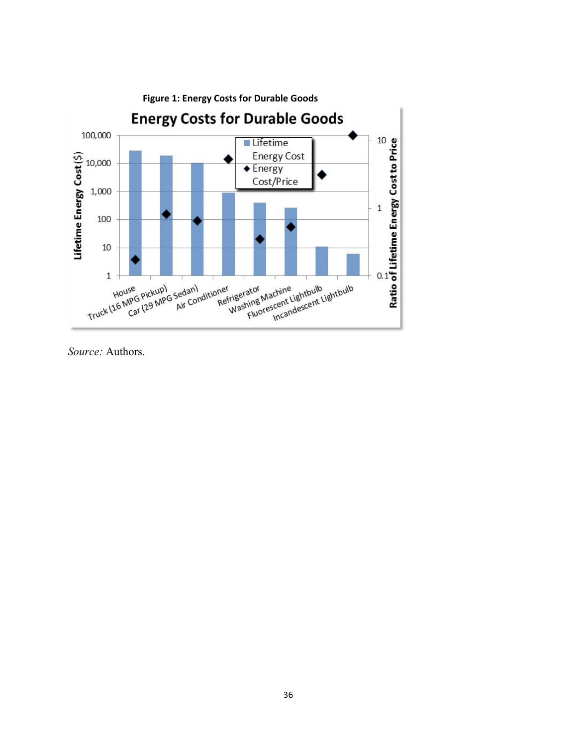

*Source:* Authors.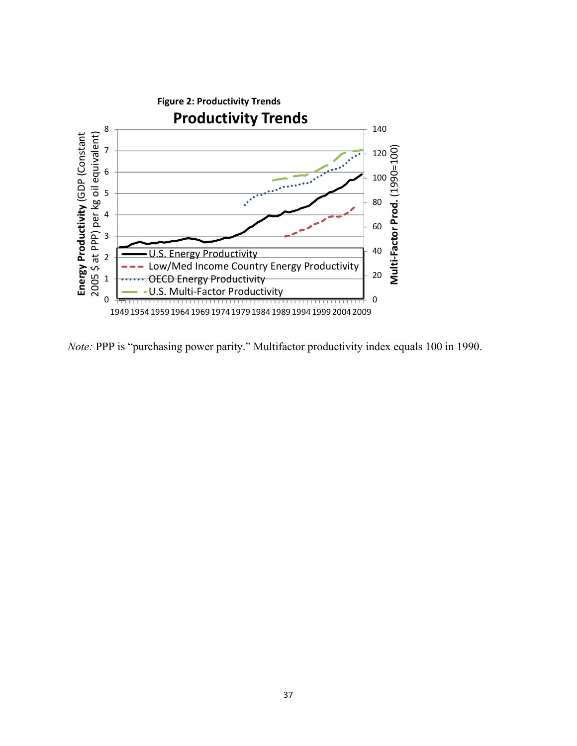

*Note:* PPP is "purchasing power parity." Multifactor productivity index equals 100 in 1990.